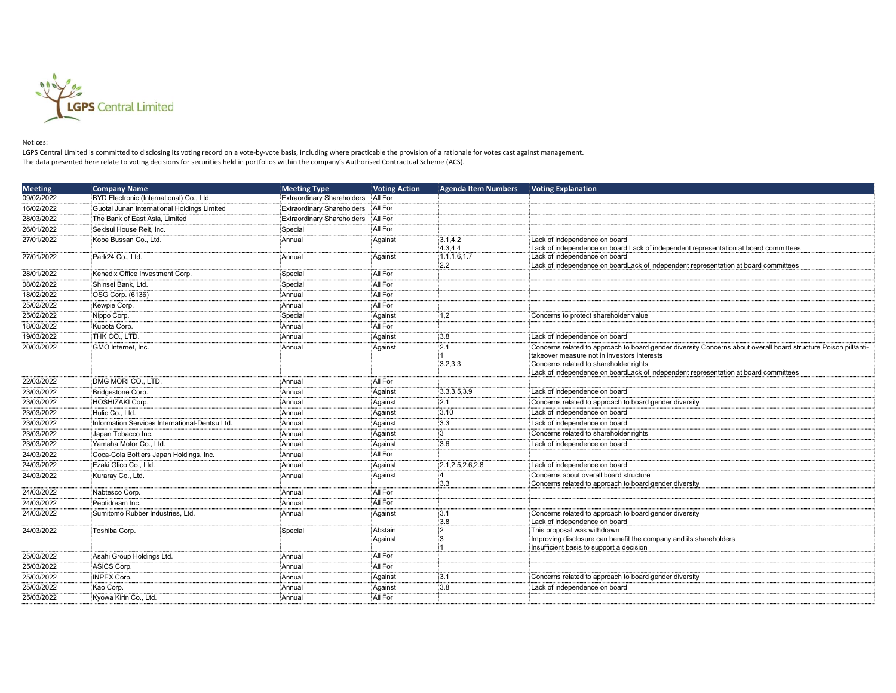

## Notices:

LGPS Central Limited is committed to disclosing its voting record on a vote-by-vote basis, including where practicable the provision of a rationale for votes cast against management. The data presented here relate to voting decisions for securities held in portfolios within the company's Authorised Contractual Scheme (ACS).

| <b>Meeting</b> | <b>Company Name</b>                            | <b>Meeting Type</b>               | <b>Voting Action</b> | <b>Agenda Item Numbers</b> | <b>Voting Explanation</b>                                                                                            |
|----------------|------------------------------------------------|-----------------------------------|----------------------|----------------------------|----------------------------------------------------------------------------------------------------------------------|
| 09/02/2022     | BYD Electronic (International) Co., Ltd.       | <b>Extraordinary Shareholders</b> | All For              |                            |                                                                                                                      |
| 16/02/2022     | Guotai Junan International Holdings Limited    | <b>Extraordinary Shareholders</b> | All For              |                            |                                                                                                                      |
| 28/03/2022     | The Bank of East Asia, Limited                 | <b>Extraordinary Shareholders</b> | All For              |                            |                                                                                                                      |
| 26/01/2022     | Sekisui House Reit. Inc.                       | Special                           | All For              |                            |                                                                                                                      |
| 27/01/2022     | Kobe Bussan Co., Ltd.                          | Annual                            | Against              | 3.1.4.2                    | Lack of independence on board                                                                                        |
|                |                                                |                                   |                      | 4.3.4.4                    | Lack of independence on board Lack of independent representation at board committees                                 |
| 27/01/2022     | Park24 Co., Ltd.                               | Annual                            | Against              | 1.1, 1.6, 1.7<br>2.2       | Lack of independence on board<br>Lack of independence on boardLack of independent representation at board committees |
| 28/01/2022     | Kenedix Office Investment Corp.                | Special                           | All For              |                            |                                                                                                                      |
| 08/02/2022     | Shinsei Bank. Ltd.                             | Special                           | All For              |                            |                                                                                                                      |
| 18/02/2022     | OSG Corp. (6136)                               | Annual                            | All For              |                            |                                                                                                                      |
| 25/02/2022     | Kewpie Corp.                                   | Annual                            | All For              |                            |                                                                                                                      |
| 25/02/2022     | Nippo Corp.                                    | Special                           | Against              | 1,2                        | Concerns to protect shareholder value                                                                                |
| 18/03/2022     | Kubota Corp.                                   | Annual                            | All For              |                            |                                                                                                                      |
| 19/03/2022     | THK CO., LTD.                                  | Annual                            | Against              | :3.8                       | Lack of independence on board                                                                                        |
| 20/03/2022     | GMO Internet, Inc.                             | Annual                            | Against              | $\overline{2.1}$           | Concerns related to approach to board gender diversity Concerns about overall board structure Poison pill/anti-      |
|                |                                                |                                   |                      |                            | takeover measure not in investors interests                                                                          |
|                |                                                |                                   |                      | 3.2.3.3                    | Concerns related to shareholder rights                                                                               |
|                |                                                |                                   |                      |                            | Lack of independence on boardLack of independent representation at board committees                                  |
| 22/03/2022     | DMG MORI CO., LTD.                             | Annual                            | All For              |                            |                                                                                                                      |
| 23/03/2022     | Bridgestone Corp.                              | Annual                            | Against              | 3.3.3.5.3.9                | Lack of independence on board                                                                                        |
| 23/03/2022     | HOSHIZAKI Corp.                                | Annual                            | Against              | :2.1                       | Concerns related to approach to board gender diversity                                                               |
| 23/03/2022     | Hulic Co., Ltd.                                | Annual                            | Against              | 3.10                       | Lack of independence on board                                                                                        |
| 23/03/2022     | Information Services International-Dentsu Ltd. | Annual                            | Against              | :3.3                       | Lack of independence on board                                                                                        |
| 23/03/2022     | Japan Tobacco Inc.                             | Annual                            | Against              |                            | Concerns related to shareholder rights                                                                               |
| 23/03/2022     | Yamaha Motor Co., Ltd.                         | Annual                            | Against              | 3.6                        | Lack of independence on board                                                                                        |
| 24/03/2022     | Coca-Cola Bottlers Japan Holdings, Inc.        | Annual                            | All For              |                            |                                                                                                                      |
| 24/03/2022     | Ezaki Glico Co., Ltd.                          | Annual                            | Against              | 2.1, 2.5, 2.6, 2.8         | Lack of independence on board                                                                                        |
| 24/03/2022     | Kuraray Co., Ltd.                              | Annual                            | Against              |                            | Concerns about overall board structure                                                                               |
|                |                                                |                                   |                      | :3.3                       | Concerns related to approach to board gender diversity                                                               |
| 24/03/2022     | Nabtesco Corp.                                 | Annual                            | All For              |                            |                                                                                                                      |
| 24/03/2022     | Peptidream Inc.                                | Annual                            | All For              |                            |                                                                                                                      |
| 24/03/2022     | Sumitomo Rubber Industries. Ltd.               | Annual                            | Against              | :3.1                       | Concerns related to approach to board gender diversity                                                               |
| 24/03/2022     | Toshiba Corp.                                  | Special                           | Abstain              | :3.8<br>:2                 | Lack of independence on board<br>This proposal was withdrawn                                                         |
|                |                                                |                                   | Against              |                            | Improving disclosure can benefit the company and its shareholders                                                    |
|                |                                                |                                   |                      |                            | Insufficient basis to support a decision                                                                             |
| 25/03/2022     | Asahi Group Holdings Ltd.                      | Annual                            | All For              |                            |                                                                                                                      |
| 25/03/2022     | ASICS Corp.                                    | Annual                            | All For              |                            |                                                                                                                      |
| 25/03/2022     | INPEX Corp.                                    | Annual                            | Against              | :3.1                       | Concerns related to approach to board gender diversity                                                               |
| 25/03/2022     | Kao Corp.                                      | Annual                            | Against              | :3.8                       | Lack of independence on board                                                                                        |
| 25/03/2022     | Kyowa Kirin Co., Ltd.                          | Annual                            | All For              |                            |                                                                                                                      |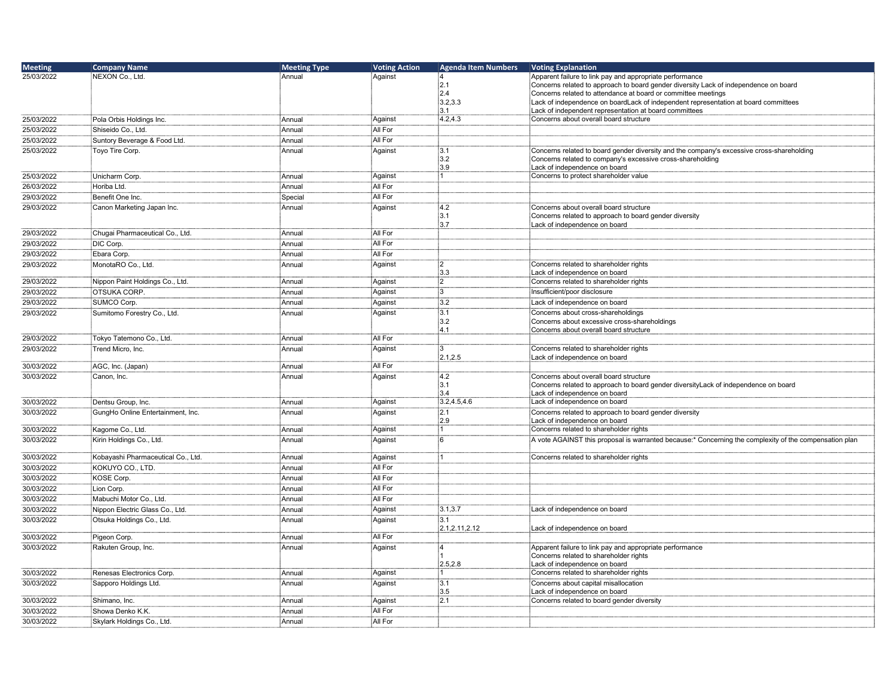| <b>Meeting</b> | <b>Company Name</b>                | <b>Meeting Type</b> | <b>Voting Action</b> | <b>Agenda Item Numbers</b> | <b>Voting Explanation</b>                                                                                                     |
|----------------|------------------------------------|---------------------|----------------------|----------------------------|-------------------------------------------------------------------------------------------------------------------------------|
| 25/03/2022     | NEXON Co., Ltd.                    | Annual              | Against              |                            | Apparent failure to link pay and appropriate performance                                                                      |
|                |                                    |                     |                      | 2.1                        | Concerns related to approach to board gender diversity Lack of independence on board                                          |
|                |                                    |                     |                      | 2.4                        | Concerns related to attendance at board or committee meetings                                                                 |
|                |                                    |                     |                      | 3.2.3.3                    | Lack of independence on boardLack of independent representation at board committees                                           |
|                |                                    |                     |                      | 3.1                        | Lack of independent representation at board committees                                                                        |
| 25/03/2022     | Pola Orbis Holdings Inc.           | Annual              | Against              | 4.2,4.3                    | Concerns about overall board structure                                                                                        |
| 25/03/2022     | Shiseido Co., Ltd.                 | Annual              | All For              |                            |                                                                                                                               |
| 25/03/2022     | Suntory Beverage & Food Ltd.       | Annual              | All For              |                            |                                                                                                                               |
| 25/03/2022     | Toyo Tire Corp.                    | Annual              | Against              | 3.1                        | Concerns related to board gender diversity and the company's excessive cross-shareholding                                     |
|                |                                    |                     |                      | :3.2                       | Concerns related to company's excessive cross-shareholding                                                                    |
| 25/03/2022     |                                    | Annual              |                      | 3.9<br>і1⊹                 | Lack of independence on board                                                                                                 |
|                | Unicharm Corp.                     |                     | Against<br>All For   |                            | Concerns to protect shareholder value                                                                                         |
| 26/03/2022     | Horiba Ltd.                        | Annual              |                      |                            |                                                                                                                               |
| 29/03/2022     | Benefit One Inc.                   | Special             | All For              |                            |                                                                                                                               |
| 29/03/2022     | Canon Marketing Japan Inc.         | Annual              | Against              | 4.2                        | Concerns about overall board structure                                                                                        |
|                |                                    |                     |                      | ່:3.1<br>3.7               | Concerns related to approach to board gender diversity                                                                        |
| 29/03/2022     | Chugai Pharmaceutical Co., Ltd.    | Annual              | All For              |                            | Lack of independence on board                                                                                                 |
| 29/03/2022     | DIC Corp.                          |                     | All For              |                            |                                                                                                                               |
|                |                                    | Annual              |                      |                            |                                                                                                                               |
| 29/03/2022     | Ebara Corp.                        | Annual              | All For              |                            |                                                                                                                               |
| 29/03/2022     | MonotaRO Co., Ltd.                 | Annual              | Against              | $^{12}$                    | Concerns related to shareholder rights                                                                                        |
|                |                                    |                     |                      | :3.3                       | Lack of independence on board<br>Concerns related to shareholder rights                                                       |
| 29/03/2022     | Nippon Paint Holdings Co., Ltd.    | Annual              | Against              | :2                         |                                                                                                                               |
| 29/03/2022     | OTSUKA CORP.                       | Annual              | Against              | :3                         | Insufficient/poor disclosure                                                                                                  |
| 29/03/2022     | SUMCO Corp.                        | Annual              | Against              | $\overline{3.2}$           | Lack of independence on board                                                                                                 |
| 29/03/2022     | Sumitomo Forestry Co., Ltd.        | Annual              | Against              | $\overline{3.1}$           | Concerns about cross-shareholdings                                                                                            |
|                |                                    |                     |                      | :3.2                       | Concerns about excessive cross-shareholdings                                                                                  |
|                |                                    |                     | All For              | 4.1                        | Concerns about overall board structure                                                                                        |
| 29/03/2022     | Tokyo Tatemono Co., Ltd.           | Annual              |                      |                            |                                                                                                                               |
| 29/03/2022     | Trend Micro, Inc.                  | Annual              | Against              | :3<br>2.1,2.5              | Concerns related to shareholder rights                                                                                        |
| 30/03/2022     | AGC, Inc. (Japan)                  | Annual              | All For              |                            | Lack of independence on board                                                                                                 |
| 30/03/2022     | Canon, Inc.                        | Annual              | Against              | 4.2                        |                                                                                                                               |
|                |                                    |                     |                      | :3.1                       | Concerns about overall board structure<br>Concerns related to approach to board gender diversityLack of independence on board |
|                |                                    |                     |                      | 3.4                        | Lack of independence on board                                                                                                 |
| 30/03/2022     | Dentsu Group, Inc.                 | Annual              | Against              | 3.2,4.5,4.6                | Lack of independence on board                                                                                                 |
| 30/03/2022     | GungHo Online Entertainment, Inc.  | Annual              | Against              | :2.1                       | Concerns related to approach to board gender diversity                                                                        |
|                |                                    |                     |                      | 2.9                        | Lack of independence on board                                                                                                 |
| 30/03/2022     | Kagome Co., Ltd.                   | Annual              | Against              | :1                         | Concerns related to shareholder rights                                                                                        |
| 30/03/2022     | Kirin Holdings Co., Ltd.           | Annual              | Against              | -6                         | A vote AGAINST this proposal is warranted because:* Concerning the complexity of the compensation plan                        |
|                |                                    |                     |                      |                            |                                                                                                                               |
| 30/03/2022     | Kobayashi Pharmaceutical Co., Ltd. | Annual              | Against              |                            | Concerns related to shareholder rights                                                                                        |
| 30/03/2022     | KOKUYO CO., LTD.                   | Annual              | All For              |                            |                                                                                                                               |
| 30/03/2022     | KOSE Corp.                         | Annual              | All For              |                            |                                                                                                                               |
| 30/03/2022     | Lion Corp.                         | :<br>Annual         | All For              |                            |                                                                                                                               |
| 30/03/2022     | Mabuchi Motor Co., Ltd.            | Annual              | All For              |                            |                                                                                                                               |
| 30/03/2022     | Nippon Electric Glass Co., Ltd.    | Annual              | Against              | 3.1, 3.7                   | Lack of independence on board                                                                                                 |
| 30/03/2022     | Otsuka Holdings Co., Ltd.          | Annual              |                      | 3.1                        |                                                                                                                               |
|                |                                    |                     | Against              | 2.1,2.11,2.12              | Lack of independence on board                                                                                                 |
| 30/03/2022     | Pigeon Corp.                       | Annual              | All For              |                            |                                                                                                                               |
| 30/03/2022     | Rakuten Group, Inc.                | Annual              | Against              | :4                         | Apparent failure to link pay and appropriate performance                                                                      |
|                |                                    |                     |                      |                            | Concerns related to shareholder rights                                                                                        |
|                |                                    |                     |                      | 2.5.2.8                    | Lack of independence on board                                                                                                 |
| 30/03/2022     | Renesas Electronics Corp.          | Annual              | Against              |                            | Concerns related to shareholder rights                                                                                        |
| 30/03/2022     | Sapporo Holdings Ltd.              | Annual              | Against              |                            | Concerns about capital misallocation                                                                                          |
|                |                                    |                     |                      | 3.5                        | Lack of independence on board                                                                                                 |
| 30/03/2022     | Shimano, Inc.                      | Annual              | Against              | 2.1                        | Concerns related to board gender diversity                                                                                    |
| 30/03/2022     | Showa Denko K.K.                   | Annual              | All For              |                            |                                                                                                                               |
| 30/03/2022     | Skylark Holdings Co., Ltd.         | Annual              | All For              |                            |                                                                                                                               |
|                |                                    |                     |                      |                            |                                                                                                                               |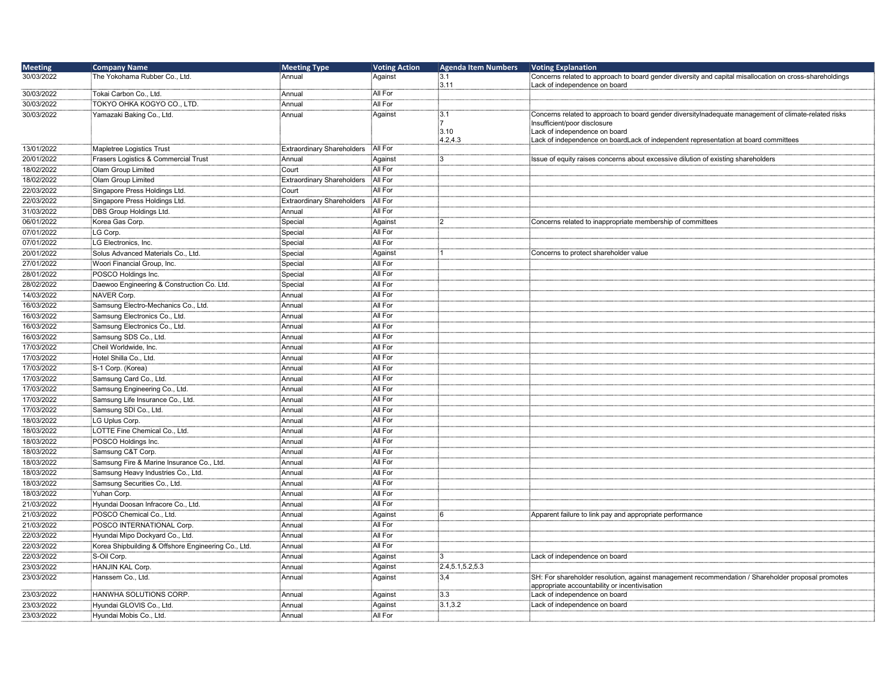| <b>Meeting</b> | <b>Company Name</b>                                | <b>Meeting Type</b>               | <b>Voting Action</b> | <b>Agenda Item Numbers</b> | <b>Voting Explanation</b>                                                                                                                                             |
|----------------|----------------------------------------------------|-----------------------------------|----------------------|----------------------------|-----------------------------------------------------------------------------------------------------------------------------------------------------------------------|
| 30/03/2022     | The Yokohama Rubber Co., Ltd.                      | : Annual                          | Against              | 3.1<br>3.11                | Concerns related to approach to board gender diversity and capital misallocation on cross-shareholdings<br>Lack of independence on board                              |
| 30/03/2022     | Tokai Carbon Co., Ltd.                             | : Annual                          | All For              |                            |                                                                                                                                                                       |
| 30/03/2022     | TOKYO OHKA KOGYO CO., LTD.                         | <sup>∶</sup> Annual               | All For              |                            |                                                                                                                                                                       |
| 30/03/2022     | Yamazaki Baking Co., Ltd.                          | Annual                            | Against              | :3.1<br>3.10               | Concerns related to approach to board gender diversitylnadequate management of climate-related risks<br>Insufficient/poor disclosure<br>Lack of independence on board |
| 13/01/2022     | Mapletree Logistics Trust                          | <b>Extraordinary Shareholders</b> | All For              | 4.2, 4.3                   | Lack of independence on boardLack of independent representation at board committees                                                                                   |
| 20/01/2022     | Frasers Logistics & Commercial Trust               | Annual                            | Against              | :3                         | Issue of equity raises concerns about excessive dilution of existing shareholders                                                                                     |
| 18/02/2022     | Olam Group Limited                                 | Court                             | All For              |                            |                                                                                                                                                                       |
| 18/02/2022     | Olam Group Limited                                 | Extraordinary Shareholders        | All For              |                            |                                                                                                                                                                       |
| 22/03/2022     | Singapore Press Holdings Ltd.                      | Court                             | All For              |                            |                                                                                                                                                                       |
| 22/03/2022     | Singapore Press Holdings Ltd.                      | <b>Extraordinary Shareholders</b> | All For              |                            |                                                                                                                                                                       |
| 31/03/2022     | DBS Group Holdings Ltd.                            | Annual                            | All For              |                            |                                                                                                                                                                       |
| 06/01/2022     | Korea Gas Corp.                                    | Special                           | Against              | :2                         | Concerns related to inappropriate membership of committees                                                                                                            |
| 07/01/2022     | LG Corp.                                           | Special                           | All For              |                            |                                                                                                                                                                       |
| 07/01/2022     | LG Electronics, Inc.                               | Special                           | All For              |                            |                                                                                                                                                                       |
| 20/01/2022     | Solus Advanced Materials Co., Ltd.                 | Special                           | Against              |                            | Concerns to protect shareholder value                                                                                                                                 |
| 27/01/2022     | Woori Financial Group, Inc.                        | Special                           | All For              |                            |                                                                                                                                                                       |
| 28/01/2022     | POSCO Holdings Inc.                                | Special                           | All For              |                            |                                                                                                                                                                       |
| 28/02/2022     | Daewoo Engineering & Construction Co. Ltd.         | Special                           | All For              |                            |                                                                                                                                                                       |
| 14/03/2022     | NAVER Corp.                                        | Annual                            | All For              |                            |                                                                                                                                                                       |
| 16/03/2022     | Samsung Electro-Mechanics Co., Ltd.                | : Annual                          | All For              |                            |                                                                                                                                                                       |
| 16/03/2022     | Samsung Electronics Co., Ltd.                      | : Annual                          | All For              |                            |                                                                                                                                                                       |
| 16/03/2022     | Samsung Electronics Co., Ltd.                      | :<br>Annual                       | All For              |                            |                                                                                                                                                                       |
| 16/03/2022     | Samsung SDS Co., Ltd.                              | Annual                            | All For              |                            |                                                                                                                                                                       |
| 17/03/2022     | Cheil Worldwide, Inc.                              | Annual                            | All For              |                            |                                                                                                                                                                       |
| 17/03/2022     | Hotel Shilla Co., Ltd.                             | : Annual                          | All For              |                            |                                                                                                                                                                       |
| 17/03/2022     | S-1 Corp. (Korea)                                  | Annual                            | All For              |                            |                                                                                                                                                                       |
| 17/03/2022     | Samsung Card Co., Ltd.                             | :<br>Annual                       | All For              |                            |                                                                                                                                                                       |
| 17/03/2022     | Samsung Engineering Co., Ltd.                      | : Annual                          | All For              |                            |                                                                                                                                                                       |
| 17/03/2022     | Samsung Life Insurance Co., Ltd.                   | Annual                            | All For              |                            |                                                                                                                                                                       |
| 17/03/2022     | Samsung SDI Co., Ltd.                              | Annual                            | All For              |                            |                                                                                                                                                                       |
| 18/03/2022     | LG Uplus Corp.                                     | :<br>Annual                       | All For              |                            |                                                                                                                                                                       |
| 18/03/2022     | LOTTE Fine Chemical Co., Ltd.                      | : Annual                          | All For              |                            |                                                                                                                                                                       |
| 18/03/2022     | POSCO Holdings Inc.                                | Annual                            | All For              |                            |                                                                                                                                                                       |
| 18/03/2022     | Samsung C&T Corp.                                  | :<br>Annual                       | All For              |                            |                                                                                                                                                                       |
| 18/03/2022     | Samsung Fire & Marine Insurance Co., Ltd.          | : Annual                          | All For              |                            |                                                                                                                                                                       |
| 18/03/2022     | Samsung Heavy Industries Co., Ltd.                 | Annual                            | All For              |                            |                                                                                                                                                                       |
| 18/03/2022     | Samsung Securities Co., Ltd.                       | : Annual                          | All For              |                            |                                                                                                                                                                       |
| 18/03/2022     | Yuhan Corp.                                        | : Annual                          | All For              |                            |                                                                                                                                                                       |
| 21/03/2022     | Hyundai Doosan Infracore Co., Ltd.                 | :ٰAnnual                          | All For              |                            |                                                                                                                                                                       |
| 21/03/2022     | POSCO Chemical Co., Ltd.                           | : Annual                          | Against              | :6                         | Apparent failure to link pay and appropriate performance                                                                                                              |
| 21/03/2022     | POSCO INTERNATIONAL Corp.                          | : Annual                          | All For              |                            |                                                                                                                                                                       |
| 22/03/2022     | Hyundai Mipo Dockyard Co., Ltd.                    | Annual                            | All For              |                            |                                                                                                                                                                       |
| 22/03/2022     | Korea Shipbuilding & Offshore Engineering Co., Ltd | Annual                            | All For              |                            |                                                                                                                                                                       |
| 22/03/2022     | S-Oil Corp.                                        | Annual                            | Against              | ፡3                         | Lack of independence on board                                                                                                                                         |
| 23/03/2022     | HANJIN KAL Corp.                                   | : Annual                          | Against              | 2.4, 5.1, 5.2, 5.3         |                                                                                                                                                                       |
| 23/03/2022     | Hanssem Co., Ltd.                                  | Annual                            | Against              | 3,4                        | SH: For shareholder resolution, against management recommendation / Shareholder proposal promotes                                                                     |
|                |                                                    |                                   |                      |                            | appropriate accountability or incentivisation                                                                                                                         |
| 23/03/2022     | HANWHA SOLUTIONS CORP.                             | Annual                            | Against              | 3.3                        | Lack of independence on board                                                                                                                                         |
| 23/03/2022     | Hyundai GLOVIS Co., Ltd.                           | Annual                            | Against              | 3.1.3.2                    | Lack of independence on board                                                                                                                                         |
| 23/03/2022     | Hyundai Mobis Co., Ltd.                            | : Annual                          | All For              |                            |                                                                                                                                                                       |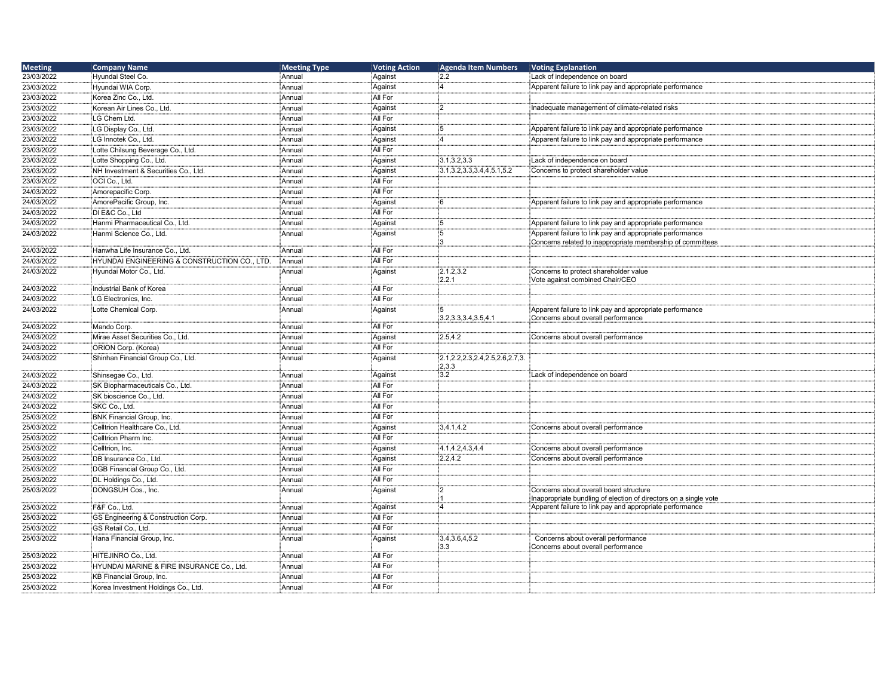| <b>Meeting</b> | <b>Company Name</b>                                     | <b>Meeting Type</b> | <b>Voting Action</b> | <b>Agenda Item Numbers</b>            | <b>Voting Explanation</b>                                                |
|----------------|---------------------------------------------------------|---------------------|----------------------|---------------------------------------|--------------------------------------------------------------------------|
| 23/03/2022     | Hyundai Steel Co.                                       | Annual              | Against              | 2.2                                   | Lack of independence on board                                            |
| 23/03/2022     | Hyundai WIA Corp.                                       | ∶Annual             | Against              | :4                                    | Apparent failure to link pay and appropriate performance                 |
| 23/03/2022     | Korea Zinc Co., Ltd.                                    | Annual              | All For              |                                       |                                                                          |
| 23/03/2022     | Korean Air Lines Co., Ltd.                              | : Annual            | Against              | :2                                    | Inadequate management of climate-related risks                           |
| 23/03/2022     | LG Chem Ltd.                                            | Annual              | All For              |                                       |                                                                          |
| 23/03/2022     | LG Display Co., Ltd.                                    | Annual              | Against              | 5                                     | Apparent failure to link pay and appropriate performance                 |
| 23/03/2022     | LG Innotek Co., Ltd.                                    | : Annual            | Against              | :4                                    | Apparent failure to link pay and appropriate performance                 |
| 23/03/2022     | Lotte Chilsung Beverage Co., Ltd.                       | Annual              | All For              |                                       |                                                                          |
| 23/03/2022     | Lotte Shopping Co., Ltd.                                | ∶Annual             | Against              | 3.1, 3.2, 3.3                         | Lack of independence on board                                            |
| 23/03/2022     | NH Investment & Securities Co., Ltd.                    | : Annual            | Against              | 3.1, 3.2, 3.3, 3.4, 4, 5.1, 5.2       | Concerns to protect shareholder value                                    |
| 23/03/2022     | OCI Co., Ltd.                                           | Annual              | All For              |                                       |                                                                          |
| 24/03/2022     | Amorepacific Corp.                                      | : Annual            | All For              |                                       |                                                                          |
| 24/03/2022     | AmorePacific Group, Inc.                                | Annual              | Against              | :6                                    | Apparent failure to link pay and appropriate performance                 |
| 24/03/2022     | DI E&C Co., Ltd                                         | :ٰAnnual            | All For              |                                       |                                                                          |
| 24/03/2022     | Hanmi Pharmaceutical Co., Ltd.                          | Annual              | Against              | :5                                    | Apparent failure to link pay and appropriate performance                 |
| 24/03/2022     | Hanmi Science Co., Ltd.                                 | Annual              | Against              | :5                                    | Apparent failure to link pay and appropriate performance                 |
|                |                                                         |                     |                      | i٩                                    | Concerns related to inappropriate membership of committees               |
| 24/03/2022     | Hanwha Life Insurance Co., Ltd.                         | : Annual            | All For              |                                       |                                                                          |
| 24/03/2022     | <b>HYUNDAI ENGINEERING &amp; CONSTRUCTION CO., LTD.</b> | Annual              | All For              |                                       |                                                                          |
| 24/03/2022     | Hyundai Motor Co., Ltd.                                 | Annual              | Against              | 2.1.2,3.2<br>2.2.1                    | Concerns to protect shareholder value<br>Vote against combined Chair/CEO |
| 24/03/2022     | Industrial Bank of Korea                                | : Annual            | All For              |                                       |                                                                          |
| 24/03/2022     | LG Electronics, Inc.                                    | Annual              | All For              |                                       |                                                                          |
| 24/03/2022     | Lotte Chemical Corp.                                    | : Annual            | Against              | :5                                    | Apparent failure to link pay and appropriate performance                 |
|                |                                                         |                     |                      | 3.2.3.3.3.4.3.5.4.1                   | Concerns about overall performance                                       |
| 24/03/2022     | Mando Corp.                                             | Annual              | All For              |                                       |                                                                          |
| 24/03/2022     | Mirae Asset Securities Co., Ltd.                        | Annual              | Against              | 2.5,4.2                               | Concerns about overall performance                                       |
| 24/03/2022     | ORION Corp. (Korea)                                     | : Annual            | All For              |                                       |                                                                          |
| 24/03/2022     | Shinhan Financial Group Co., Ltd.                       | Annual              | Against              | 2.1, 2.2, 2.3, 2.4, 2.5, 2.6, 2.7, 3. |                                                                          |
| 24/03/2022     | Shinsegae Co., Ltd.                                     | : Annual            |                      | 2,3.3<br>3.2                          | Lack of independence on board                                            |
| 24/03/2022     | SK Biopharmaceuticals Co., Ltd.                         | : Annual            | Against<br>All For   |                                       |                                                                          |
| 24/03/2022     | SK bioscience Co., Ltd.                                 | Annual              | All For              |                                       |                                                                          |
| 24/03/2022     | SKC Co., Ltd.                                           | Annual:             | All For              |                                       |                                                                          |
| 25/03/2022     | <b>BNK Financial Group, Inc.</b>                        | Annual              | All For              |                                       |                                                                          |
| 25/03/2022     | Celltrion Healthcare Co., Ltd.                          | : Annual            | Against              | 3,4.1,4.2                             | Concerns about overall performance                                       |
| 25/03/2022     | Celltrion Pharm Inc.                                    | : Annual            | All For              |                                       |                                                                          |
| 25/03/2022     | Celltrion, Inc.                                         | : Annual            | Against              | 4.1,4.2,4.3,4.4                       | Concerns about overall performance                                       |
| 25/03/2022     | DB Insurance Co., Ltd.                                  | : Annual            | Against              | 2.2,4.2                               | Concerns about overall performance                                       |
| 25/03/2022     | DGB Financial Group Co., Ltd.                           | : Annual            | All For              |                                       |                                                                          |
| 25/03/2022     | DL Holdings Co., Ltd.                                   | : Annual            | All For              |                                       |                                                                          |
| 25/03/2022     | DONGSUH Cos., Inc.                                      | : Annual            | Against              | :2                                    | Concerns about overall board structure                                   |
|                |                                                         |                     |                      |                                       | Inappropriate bundling of election of directors on a single vote         |
| 25/03/2022     | F&F Co., Ltd.                                           | Annual              | Against              | :4                                    | Apparent failure to link pay and appropriate performance                 |
| 25/03/2022     | GS Engineering & Construction Corp.                     | Annual              | All For              |                                       |                                                                          |
| 25/03/2022     | GS Retail Co., Ltd.                                     | :<br>Annual         | All For              |                                       |                                                                          |
| 25/03/2022     | Hana Financial Group, Inc.                              | : Annual            | Against              | 3.4, 3.6, 4, 5.2                      | Concerns about overall performance                                       |
|                |                                                         |                     |                      | :3.3                                  | Concerns about overall performance                                       |
| 25/03/2022     | HITEJINRO Co., Ltd.                                     | Annual              | All For              |                                       |                                                                          |
| 25/03/2022     | HYUNDAI MARINE & FIRE INSURANCE Co., Ltd.               | Annual              | All For              |                                       |                                                                          |
| 25/03/2022     | KB Financial Group, Inc.                                | Annual              | All For              |                                       |                                                                          |
| 25/03/2022     | Korea Investment Holdings Co., Ltd.                     | :Annual             | All For              |                                       |                                                                          |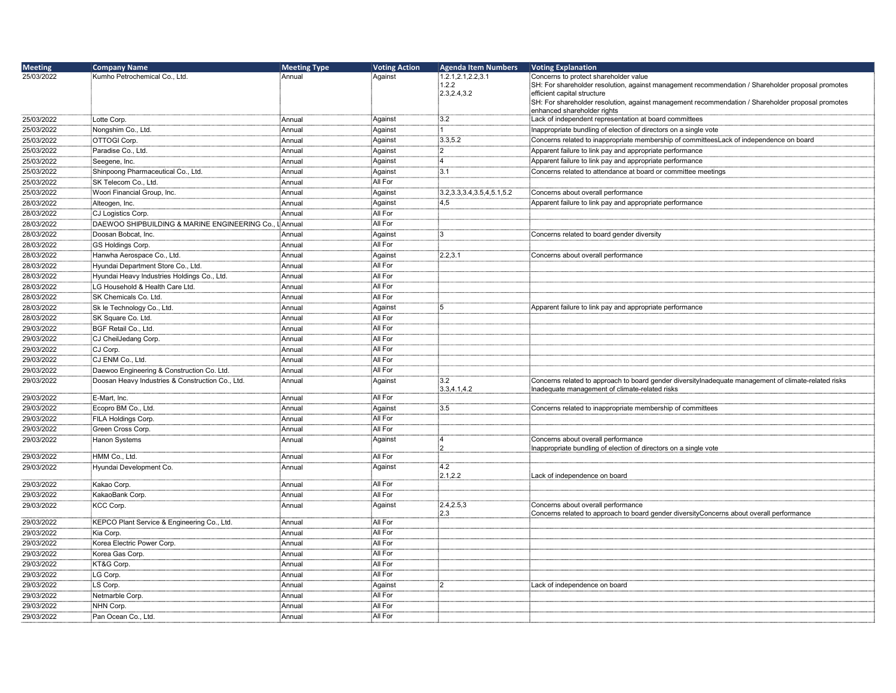| <b>Meeting</b> | <b>Company Name</b>                              | <b>Meeting Type</b> | <b>Voting Action</b> | <b>Agenda Item Numbers</b>      | Voting Explanation                                                                                                                                     |
|----------------|--------------------------------------------------|---------------------|----------------------|---------------------------------|--------------------------------------------------------------------------------------------------------------------------------------------------------|
| 25/03/2022     | Kumho Petrochemical Co., Ltd.                    | : Annual            | Against              | 1.2.1,2.1,2.2,3.1               | Concerns to protect shareholder value                                                                                                                  |
|                |                                                  |                     |                      | 1.2.2                           | SH: For shareholder resolution, against management recommendation / Shareholder proposal promotes                                                      |
|                |                                                  |                     |                      | 2.3,2.4,3.2                     | efficient capital structure<br>SH: For shareholder resolution, against management recommendation / Shareholder proposal promotes                       |
|                |                                                  |                     |                      |                                 | enhanced shareholder rights                                                                                                                            |
| 25/03/2022     | Lotte Corp.                                      | : Annual            | Against              | :3.2                            | Lack of independent representation at board committees                                                                                                 |
| 25/03/2022     | Nongshim Co., Ltd.                               | :<br>Annual         | Against              | : 1                             | Inappropriate bundling of election of directors on a single vote                                                                                       |
| 25/03/2022     | OTTOGI Corp.                                     | Annual              | Against              | 3.3,5.2                         | Concerns related to inappropriate membership of committeesLack of independence on board                                                                |
| 25/03/2022     | Paradise Co., Ltd.                               | Annual              | Against              | :2                              | Apparent failure to link pay and appropriate performance                                                                                               |
| 25/03/2022     | Seegene, Inc.                                    | :<br>Annual         | Against              | :4                              | Apparent failure to link pay and appropriate performance                                                                                               |
| 25/03/2022     | Shinpoong Pharmaceutical Co., Ltd.               | Annual              | Against              | :3.1                            | Concerns related to attendance at board or committee meetings                                                                                          |
| 25/03/2022     | SK Telecom Co., Ltd.                             | Annual              | All For              |                                 |                                                                                                                                                        |
| 25/03/2022     | Woori Financial Group, Inc.                      | Annual              | Against              | 3.2, 3.3, 3.4, 3.5, 4, 5.1, 5.2 | Concerns about overall performance                                                                                                                     |
| 28/03/2022     | Alteogen, Inc.                                   | Annual              | Against              | 4,5                             | Apparent failure to link pay and appropriate performance                                                                                               |
| 28/03/2022     | CJ Logistics Corp.                               | Annual              | All For              |                                 |                                                                                                                                                        |
| 28/03/2022     | DAEWOO SHIPBUILDING & MARINE ENGINEERING Co.,    | LAnnual             | All For              |                                 |                                                                                                                                                        |
| 28/03/2022     | Doosan Bobcat, Inc.                              | Annual              | Against              | :3                              | Concerns related to board gender diversity                                                                                                             |
| 28/03/2022     | <b>GS Holdings Corp.</b>                         | Annual              | All For              |                                 |                                                                                                                                                        |
| 28/03/2022     | Hanwha Aerospace Co., Ltd.                       | Annual              | Against              | 2.2.3.1                         | Concerns about overall performance                                                                                                                     |
| 28/03/2022     | Hyundai Department Store Co., Ltd.               | :<br>Annual         | All For              |                                 |                                                                                                                                                        |
| 28/03/2022     | Hyundai Heavy Industries Holdings Co., Ltd.      | :<br>Annual         | All For              |                                 |                                                                                                                                                        |
| 28/03/2022     | LG Household & Health Care Ltd.                  | Annual              | All For              |                                 |                                                                                                                                                        |
| 28/03/2022     | SK Chemicals Co. Ltd.                            | :<br>Annual         | All For              |                                 |                                                                                                                                                        |
| 28/03/2022     | Sk le Technology Co., Ltd.                       | :<br>Annual         | Against              | 15                              | Apparent failure to link pay and appropriate performance                                                                                               |
| 28/03/2022     | SK Square Co. Ltd.                               | : Annual            | All For              |                                 |                                                                                                                                                        |
| 29/03/2022     | BGF Retail Co., Ltd.                             | :<br>Annual         | All For              |                                 |                                                                                                                                                        |
| 29/03/2022     | CJ CheilJedang Corp.                             | : Annual            | All For              |                                 |                                                                                                                                                        |
| 29/03/2022     | CJ Corp.                                         | Annual              | All For              |                                 |                                                                                                                                                        |
| 29/03/2022     | CJ ENM Co., Ltd.                                 | Annual              | All For              |                                 |                                                                                                                                                        |
| 29/03/2022     | Daewoo Engineering & Construction Co. Ltd.       | : Annual            | All For              |                                 |                                                                                                                                                        |
| 29/03/2022     | Doosan Heavy Industries & Construction Co., Ltd. | Annual              | Against              | :3.2<br>3.3,4.1,4.2             | Concerns related to approach to board gender diversitylnadequate management of climate-related risks<br>Inadequate management of climate-related risks |
| 29/03/2022     | E-Mart, Inc.                                     | Annual              | All For              |                                 |                                                                                                                                                        |
| 29/03/2022     | Ecopro BM Co., Ltd.                              | :<br>Annual         | Against              | 3.5                             | Concerns related to inappropriate membership of committees                                                                                             |
| 29/03/2022     | FILA Holdings Corp.                              | Annual              | All For              |                                 |                                                                                                                                                        |
| 29/03/2022     | Green Cross Corp.                                | Annual              | All For              |                                 |                                                                                                                                                        |
| 29/03/2022     | Hanon Systems                                    | Annual              | Against              | :4<br>:2                        | Concerns about overall performance<br>Inappropriate bundling of election of directors on a single vote                                                 |
| 29/03/2022     | HMM Co., Ltd.                                    | :<br>Annual         | All For              |                                 |                                                                                                                                                        |
| 29/03/2022     | Hyundai Development Co.                          | Annual              | Against              | 4.2<br>2.1.2.2                  | Lack of independence on board                                                                                                                          |
| 29/03/2022     | Kakao Corp.                                      | : Annual            | All For              |                                 |                                                                                                                                                        |
| 29/03/2022     | KakaoBank Corp.                                  | Annual              | All For              |                                 |                                                                                                                                                        |
| 29/03/2022     | <b>KCC Corp.</b>                                 | Annual              | Against              | 2.4, 2.5, 3<br>2.3              | Concerns about overall performance<br>Concerns related to approach to board gender diversityConcerns about overall performance                         |
| 29/03/2022     | KEPCO Plant Service & Engineering Co., Ltd.      | :<br>Annual         | All For              |                                 |                                                                                                                                                        |
| 29/03/2022     | Kia Corp.                                        | :<br>Annual         | All For              |                                 |                                                                                                                                                        |
| 29/03/2022     | Korea Electric Power Corp.                       | Annual              | All For              |                                 |                                                                                                                                                        |
| 29/03/2022     | Korea Gas Corp.                                  | :<br>Annual         | All For              |                                 |                                                                                                                                                        |
| 29/03/2022     | KT&G Corp.                                       | :<br>Annual         | All For              |                                 |                                                                                                                                                        |
| 29/03/2022     | LG Corp.                                         | Annual              | All For              |                                 |                                                                                                                                                        |
| 29/03/2022     | LS Corp.                                         | : Annual            | Against              | :2                              | Lack of independence on board                                                                                                                          |
| 29/03/2022     | Netmarble Corp.                                  | Annual              | All For              |                                 |                                                                                                                                                        |
| 29/03/2022     | NHN Corp.                                        | Annual              | All For              |                                 |                                                                                                                                                        |
| 29/03/2022     | Pan Ocean Co., Ltd.                              | : Annual            | All For              |                                 |                                                                                                                                                        |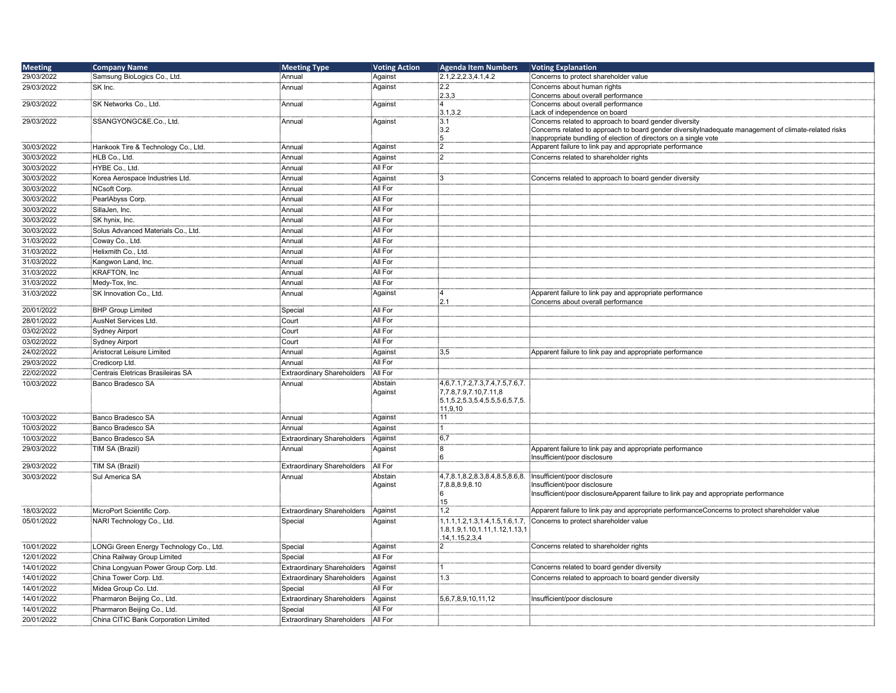| <b>Meeting</b> | <b>Company Name</b>                     | <b>Meeting Type</b>               | <b>Voting Action</b> | <b>Agenda Item Numbers</b>                                        | <b>Voting Explanation</b>                                                                                                                                      |
|----------------|-----------------------------------------|-----------------------------------|----------------------|-------------------------------------------------------------------|----------------------------------------------------------------------------------------------------------------------------------------------------------------|
| 29/03/2022     | Samsung BioLogics Co., Ltd.             | :Annual                           | Against              | [2.1, 2.2, 2.3, 4.1, 4.2]                                         | Concerns to protect shareholder value                                                                                                                          |
| 29/03/2022     | SK Inc.                                 | Annual                            | Against              | $\frac{1}{2}$ .2                                                  | Concerns about human rights                                                                                                                                    |
|                |                                         |                                   |                      | 2.3,3                                                             | Concerns about overall performance                                                                                                                             |
| 29/03/2022     | SK Networks Co., Ltd.                   | Annual                            | Against              | -4                                                                | Concerns about overall performance                                                                                                                             |
|                |                                         |                                   |                      | 3.1,3.2                                                           | Lack of independence on board                                                                                                                                  |
| 29/03/2022     | SSANGYONGC&E.Co., Ltd.                  | Annual                            | Against              | :3.1<br>3.2                                                       | Concerns related to approach to board gender diversity<br>Concerns related to approach to board gender diversitylnadequate management of climate-related risks |
|                |                                         |                                   |                      | :5                                                                | Inappropriate bundling of election of directors on a single vote                                                                                               |
| 30/03/2022     | Hankook Tire & Technology Co., Ltd.     | Annual                            | Against              | $\frac{1}{2}$                                                     | Apparent failure to link pay and appropriate performance                                                                                                       |
| 30/03/2022     | HLB Co., Ltd.                           | Annual                            | Against              | 12                                                                | Concerns related to shareholder rights                                                                                                                         |
| 30/03/2022     | HYBE Co., Ltd.                          | Annual                            | All For              |                                                                   |                                                                                                                                                                |
| 30/03/2022     | Korea Aerospace Industries Ltd.         | Annual                            | Against              | ŧЗ                                                                | Concerns related to approach to board gender diversity                                                                                                         |
| 30/03/2022     | NCsoft Corp.                            | Annual                            | All For              |                                                                   |                                                                                                                                                                |
| 30/03/2022     | PearlAbyss Corp.                        | Annual                            | All For              |                                                                   |                                                                                                                                                                |
| 30/03/2022     | SillaJen, Inc.                          | Annual                            | All For              |                                                                   |                                                                                                                                                                |
|                |                                         |                                   | All For              |                                                                   |                                                                                                                                                                |
| 30/03/2022     | SK hynix, Inc.                          | Annual                            | All For              |                                                                   |                                                                                                                                                                |
| 30/03/2022     | Solus Advanced Materials Co., Ltd.      | Annual                            |                      |                                                                   |                                                                                                                                                                |
| 31/03/2022     | Coway Co., Ltd.                         | Annual                            | All For              |                                                                   |                                                                                                                                                                |
| 31/03/2022     | Helixmith Co., Ltd.                     | Annual                            | All For              |                                                                   |                                                                                                                                                                |
| 31/03/2022     | Kangwon Land, Inc.                      | Annual                            | All For              |                                                                   |                                                                                                                                                                |
| 31/03/2022     | <b>KRAFTON, Inc.</b>                    | Annual                            | All For              |                                                                   |                                                                                                                                                                |
| 31/03/2022     | Medy-Tox, Inc.                          | Annual                            | All For              |                                                                   |                                                                                                                                                                |
| 31/03/2022     | SK Innovation Co., Ltd.                 | Annual                            | Against              | - 1                                                               | Apparent failure to link pay and appropriate performance                                                                                                       |
|                |                                         |                                   |                      | :2.1                                                              | Concerns about overall performance                                                                                                                             |
| 20/01/2022     | <b>BHP Group Limited</b>                | Special                           | All For              |                                                                   |                                                                                                                                                                |
| 28/01/2022     | AusNet Services Ltd.                    | Court                             | All For              |                                                                   |                                                                                                                                                                |
| 03/02/2022     | <b>Sydney Airport</b>                   | Court                             | All For              |                                                                   |                                                                                                                                                                |
| 03/02/2022     | <b>Sydney Airport</b>                   | Court                             | All For              |                                                                   |                                                                                                                                                                |
| 24/02/2022     | Aristocrat Leisure Limited              | Annual                            | Against              | $\frac{1}{3}3.5$                                                  | Apparent failure to link pay and appropriate performance                                                                                                       |
| 29/03/2022     | Credicorp Ltd.                          | Annual                            | All For              |                                                                   |                                                                                                                                                                |
| 22/02/2022     | Centrais Eletricas Brasileiras SA       | <b>Extraordinary Shareholders</b> | All For              |                                                                   |                                                                                                                                                                |
| 10/03/2022     | Banco Bradesco SA                       | Annual                            | Abstain              | 4,6,7.1,7.2,7.3,7.4,7.5,7.6,7.                                    |                                                                                                                                                                |
|                |                                         |                                   | Against              | 7,7.8,7.9,7.10,7.11,8<br>$[5.1, 5.2, 5.3, 5.4, 5.5, 5.6, 5.7, 5.$ |                                                                                                                                                                |
|                |                                         |                                   |                      | 11,9,10                                                           |                                                                                                                                                                |
| 10/03/2022     | Banco Bradesco SA                       | Annual                            | Against              | :11                                                               |                                                                                                                                                                |
| 10/03/2022     | Banco Bradesco SA                       | Annual                            | Against              |                                                                   |                                                                                                                                                                |
| 10/03/2022     | Banco Bradesco SA                       | <b>Extraordinary Shareholders</b> | Against              | $\frac{1}{2}6,7$                                                  |                                                                                                                                                                |
| 29/03/2022     | TIM SA (Brazil)                         | Annual                            | Against              | 8                                                                 | Apparent failure to link pay and appropriate performance                                                                                                       |
|                |                                         |                                   |                      | ะค                                                                | Insufficient/poor disclosure                                                                                                                                   |
| 29/03/2022     | TIM SA (Brazil)                         | <b>Extraordinary Shareholders</b> | All For              |                                                                   |                                                                                                                                                                |
| 30/03/2022     | Sul America SA                          | Annual                            | Abstain              | 4,7,8.1,8.2,8.3,8.4,8.5,8.6,8.                                    | Insufficient/poor disclosure                                                                                                                                   |
|                |                                         |                                   | Against              | 7,8.8,8.9,8.10                                                    | Insufficient/poor disclosure                                                                                                                                   |
|                |                                         |                                   |                      |                                                                   | Insufficient/poor disclosureApparent failure to link pay and appropriate performance                                                                           |
| 18/03/2022     | MicroPort Scientific Corp.              | Extraordinary Shareholders        | Against              | 15<br>1.2                                                         | Apparent failure to link pay and appropriate performanceConcerns to protect shareholder value                                                                  |
| 05/01/2022     | NARI Technology Co., Ltd.               | Special                           | Against              | 1, 1.1, 1.2, 1.3, 1.4, 1.5, 1.6, 1.7,                             | Concerns to protect shareholder value                                                                                                                          |
|                |                                         |                                   |                      | 1.8, 1.9, 1.10, 1.11, 1.12, 1.13, 1                               |                                                                                                                                                                |
|                |                                         |                                   |                      | .14, 1.15, 2, 3, 4                                                |                                                                                                                                                                |
| 10/01/2022     | LONGi Green Energy Technology Co., Ltd. | Special                           | Against              | :2                                                                | Concerns related to shareholder rights                                                                                                                         |
| 12/01/2022     | China Railway Group Limited             | Special                           | All For              |                                                                   |                                                                                                                                                                |
| 14/01/2022     | China Longyuan Power Group Corp. Ltd.   | <b>Extraordinary Shareholders</b> | Against              | : 1                                                               | Concerns related to board gender diversity                                                                                                                     |
| 14/01/2022     | China Tower Corp. Ltd.                  | <b>Extraordinary Shareholders</b> | Against              | 1.3                                                               | Concerns related to approach to board gender diversity                                                                                                         |
| 14/01/2022     | Midea Group Co. Ltd.                    | Special                           | All For              |                                                                   |                                                                                                                                                                |
| 14/01/2022     | Pharmaron Beijing Co., Ltd.             | <b>Extraordinary Shareholders</b> | Aqainst              | 5,6,7,8,9,10,11,12                                                | Insufficient/poor disclosure                                                                                                                                   |
| 14/01/2022     | Pharmaron Beijing Co., Ltd.             | Special                           | All For              |                                                                   |                                                                                                                                                                |
| 20/01/2022     | China CITIC Bank Corporation Limited    | Extraordinary Shareholders        | All For              |                                                                   |                                                                                                                                                                |
|                |                                         |                                   |                      |                                                                   |                                                                                                                                                                |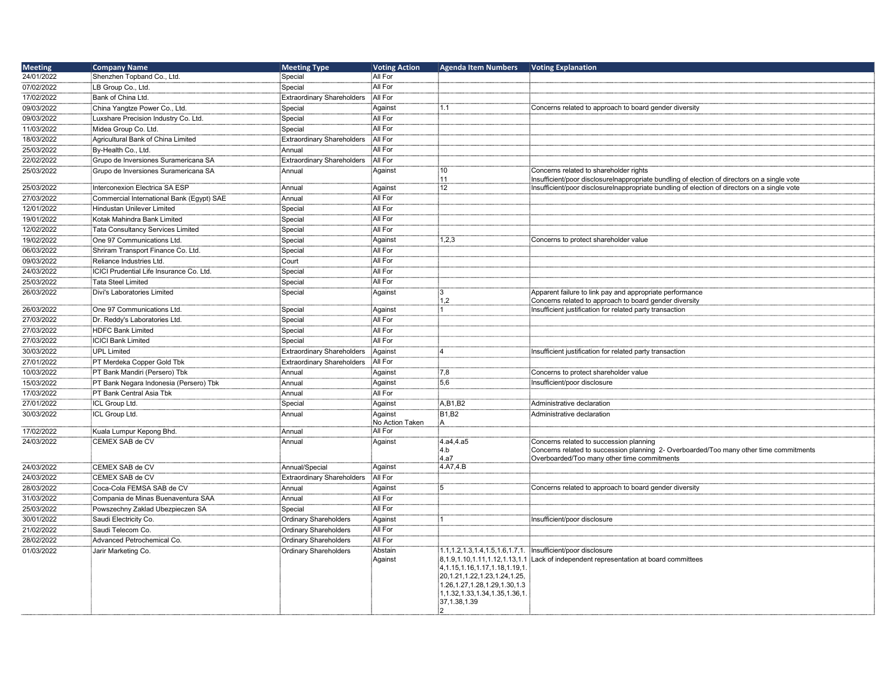| <b>Meeting</b> | <b>Company Name</b>                       | <b>Meeting Type</b>               | <b>Voting Action</b>       | <b>Agenda Item Numbers</b>                                                                                                                                                                                                                        | <b>Voting Explanation</b>                                                                                          |
|----------------|-------------------------------------------|-----------------------------------|----------------------------|---------------------------------------------------------------------------------------------------------------------------------------------------------------------------------------------------------------------------------------------------|--------------------------------------------------------------------------------------------------------------------|
| 24/01/2022     | Shenzhen Topband Co., Ltd.                | Special                           | All For                    |                                                                                                                                                                                                                                                   |                                                                                                                    |
| 07/02/2022     | LB Group Co., Ltd.                        | Special                           | All For                    |                                                                                                                                                                                                                                                   |                                                                                                                    |
| 17/02/2022     | Bank of China Ltd.                        | <b>Extraordinary Shareholders</b> | All For                    |                                                                                                                                                                                                                                                   |                                                                                                                    |
| 09/03/2022     | China Yangtze Power Co., Ltd.             | Special                           | Against                    | 1.1                                                                                                                                                                                                                                               | Concerns related to approach to board gender diversity                                                             |
| 09/03/2022     | Luxshare Precision Industry Co. Ltd.      | Special                           | All For                    |                                                                                                                                                                                                                                                   |                                                                                                                    |
| 11/03/2022     | Midea Group Co. Ltd.                      | Special                           | All For                    |                                                                                                                                                                                                                                                   |                                                                                                                    |
| 18/03/2022     | Agricultural Bank of China Limited        | <b>Extraordinary Shareholders</b> | All For                    |                                                                                                                                                                                                                                                   |                                                                                                                    |
| 25/03/2022     | By-Health Co., Ltd.                       | Annual                            | All For                    |                                                                                                                                                                                                                                                   |                                                                                                                    |
| 22/02/2022     | Grupo de Inversiones Suramericana SA      | <b>Extraordinary Shareholders</b> | All For                    |                                                                                                                                                                                                                                                   |                                                                                                                    |
| 25/03/2022     | Grupo de Inversiones Suramericana SA      | Annual                            | Against                    | 10                                                                                                                                                                                                                                                | Concerns related to shareholder rights                                                                             |
|                |                                           |                                   |                            | 11                                                                                                                                                                                                                                                | Insufficient/poor disclosureInappropriate bundling of election of directors on a single vote                       |
| 25/03/2022     | Interconexion Electrica SA ESP            | Annual                            | Against                    | $\overline{12}$                                                                                                                                                                                                                                   | Insufficient/poor disclosureInappropriate bundling of election of directors on a single vote                       |
| 27/03/2022     | Commercial International Bank (Egypt) SAE | Annual                            | All For                    |                                                                                                                                                                                                                                                   |                                                                                                                    |
| 12/01/2022     | Hindustan Unilever Limited                | Special                           | All For                    |                                                                                                                                                                                                                                                   |                                                                                                                    |
| 19/01/2022     | Kotak Mahindra Bank Limited               | Special                           | All For                    |                                                                                                                                                                                                                                                   |                                                                                                                    |
| 12/02/2022     | Tata Consultancy Services Limited         | Special                           | All For                    |                                                                                                                                                                                                                                                   |                                                                                                                    |
| 19/02/2022     | One 97 Communications Ltd.                | Special                           | Against                    | 1,2,3                                                                                                                                                                                                                                             | Concerns to protect shareholder value                                                                              |
| 06/03/2022     | Shriram Transport Finance Co. Ltd.        | Special                           | All For                    |                                                                                                                                                                                                                                                   |                                                                                                                    |
| 09/03/2022     | Reliance Industries Ltd.                  | Court                             | All For                    |                                                                                                                                                                                                                                                   |                                                                                                                    |
| 24/03/2022     | ICICI Prudential Life Insurance Co. Ltd.  | Special                           | All For                    |                                                                                                                                                                                                                                                   |                                                                                                                    |
| 25/03/2022     | <b>Tata Steel Limited</b>                 | Special                           | All For                    |                                                                                                                                                                                                                                                   |                                                                                                                    |
| 26/03/2022     | Divi's Laboratories Limited               | Special                           | Against                    | іЗ                                                                                                                                                                                                                                                |                                                                                                                    |
|                |                                           |                                   |                            | 1,2                                                                                                                                                                                                                                               | Apparent failure to link pay and appropriate performance<br>Concerns related to approach to board gender diversity |
| 26/03/2022     | One 97 Communications Ltd.                | Special                           | Against                    | : 1                                                                                                                                                                                                                                               | Insufficient justification for related party transaction                                                           |
| 27/03/2022     | Dr. Reddy's Laboratories Ltd.             | Special                           | All For                    |                                                                                                                                                                                                                                                   |                                                                                                                    |
| 27/03/2022     | <b>HDFC Bank Limited</b>                  | Special                           | All For                    |                                                                                                                                                                                                                                                   |                                                                                                                    |
| 27/03/2022     | <b>ICICI Bank Limited</b>                 | Special                           | All For                    |                                                                                                                                                                                                                                                   |                                                                                                                    |
| 30/03/2022     | <b>UPL Limited</b>                        | <b>Extraordinary Shareholders</b> | Against                    | ١Δ                                                                                                                                                                                                                                                | Insufficient justification for related party transaction                                                           |
| 27/01/2022     | PT Merdeka Copper Gold Tbk                | <b>Extraordinary Shareholders</b> | All For                    |                                                                                                                                                                                                                                                   |                                                                                                                    |
| 10/03/2022     | PT Bank Mandiri (Persero) Tbk             | Annual                            | Against                    | 7,8                                                                                                                                                                                                                                               | Concerns to protect shareholder value                                                                              |
| 15/03/2022     | PT Bank Negara Indonesia (Persero) Tbk    | Annual                            | Against                    | 5,6                                                                                                                                                                                                                                               | Insufficient/poor disclosure                                                                                       |
| 17/03/2022     | PT Bank Central Asia Tbk                  | Annual                            | All For                    |                                                                                                                                                                                                                                                   |                                                                                                                    |
| 27/01/2022     | <b>ICL Group Ltd.</b>                     | Special                           |                            | A, B1, B2                                                                                                                                                                                                                                         |                                                                                                                    |
|                |                                           |                                   | Against                    | <b>B1,B2</b>                                                                                                                                                                                                                                      | Administrative declaration                                                                                         |
| 30/03/2022     | ICL Group Ltd.                            | Annual                            | Against<br>No Action Taken | İΑ                                                                                                                                                                                                                                                | Administrative declaration                                                                                         |
| 17/02/2022     | Kuala Lumpur Kepong Bhd.                  | Annual                            | All For                    |                                                                                                                                                                                                                                                   |                                                                                                                    |
| 24/03/2022     | CEMEX SAB de CV                           | Annual                            | Against                    | 4.a4,4.a5                                                                                                                                                                                                                                         | Concerns related to succession planning                                                                            |
|                |                                           |                                   |                            | 4.b                                                                                                                                                                                                                                               | Concerns related to succession planning 2- Overboarded/Too many other time commitments                             |
|                |                                           |                                   |                            | 4.a7                                                                                                                                                                                                                                              | Overboarded/Too many other time commitments                                                                        |
| 24/03/2022     | CEMEX SAB de CV                           | Annual/Special                    | Against                    | 4.A7,4.B                                                                                                                                                                                                                                          |                                                                                                                    |
| 24/03/2022     | CEMEX SAB de CV                           | Extraordinary Shareholders        | All For                    |                                                                                                                                                                                                                                                   |                                                                                                                    |
| 28/03/2022     | Coca-Cola FEMSA SAB de CV                 | Annual                            | Against                    | :5                                                                                                                                                                                                                                                | Concerns related to approach to board gender diversity                                                             |
| 31/03/2022     | Compania de Minas Buenaventura SAA        | Annual                            | All For                    |                                                                                                                                                                                                                                                   |                                                                                                                    |
| 25/03/2022     | Powszechny Zaklad Ubezpieczen SA          | Special                           | All For                    |                                                                                                                                                                                                                                                   |                                                                                                                    |
| 30/01/2022     | Saudi Electricity Co.                     | Ordinary Shareholders             | Against                    |                                                                                                                                                                                                                                                   | Insufficient/poor disclosure                                                                                       |
| 21/02/2022     | Saudi Telecom Co.                         | <b>Ordinary Shareholders</b>      | All For                    |                                                                                                                                                                                                                                                   |                                                                                                                    |
| 28/02/2022     | Advanced Petrochemical Co.                | Ordinary Shareholders             | All For                    |                                                                                                                                                                                                                                                   |                                                                                                                    |
| 01/03/2022     | Jarir Marketing Co.                       | <b>Ordinary Shareholders</b>      | Abstain<br>Against         | 1.1, 1.2, 1.3, 1.4, 1.5, 1.6, 1.7, 1. Insufficient/poor disclosure<br>4, 1.15, 1.16, 1.17, 1.18, 1.19, 1.<br>20, 1.21, 1.22, 1.23, 1.24, 1.25,<br>1.26, 1.27, 1.28, 1.29, 1.30, 1.3<br>1, 1.32, 1.33, 1.34, 1.35, 1.36, 1<br>37, 1.38, 1.39<br>:2 | $8,1.9,1.10,1.11,1.12,1.13,1.1$ Lack of independent representation at board committees                             |
|                |                                           |                                   |                            |                                                                                                                                                                                                                                                   |                                                                                                                    |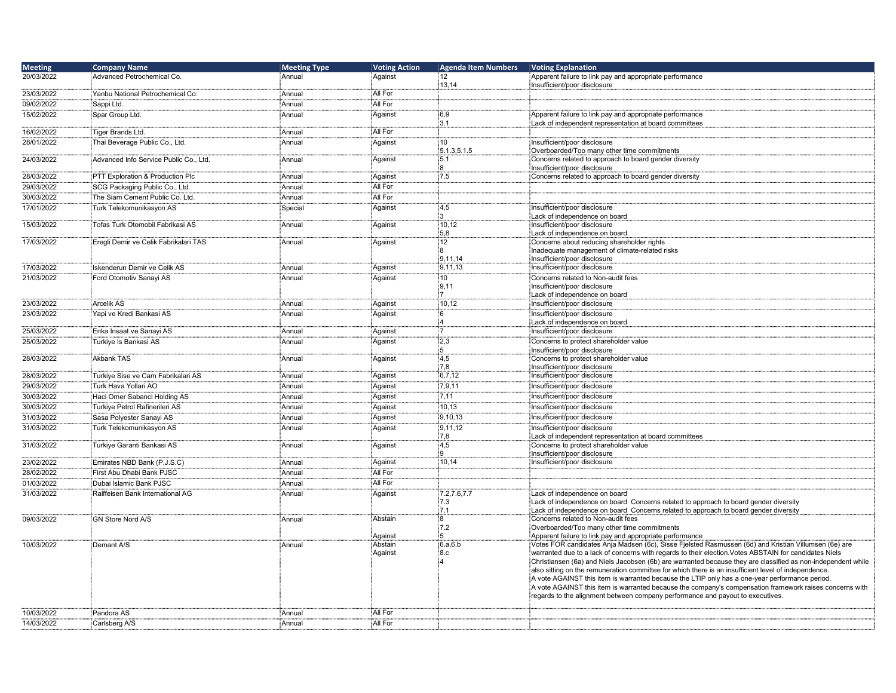| <b>Meeting</b>           | <b>Company Name</b>                    | <b>Meeting Type</b> | <b>Voting Action</b> | <b>Agenda Item Numbers</b> | <b>Voting Explanation</b>                                                                                                                                                                                            |
|--------------------------|----------------------------------------|---------------------|----------------------|----------------------------|----------------------------------------------------------------------------------------------------------------------------------------------------------------------------------------------------------------------|
| 20/03/2022               | Advanced Petrochemical Co.             | Annual              | Against              | 12                         | Apparent failure to link pay and appropriate performance                                                                                                                                                             |
|                          | Yanbu National Petrochemical Co.       | Annual              | All For              | 13,14                      | Insufficient/poor disclosure                                                                                                                                                                                         |
| 23/03/2022<br>09/02/2022 | Sappi Ltd.                             | Annual              | All For              |                            |                                                                                                                                                                                                                      |
| 15/02/2022               | Spar Group Ltd.                        | Annual              | Against              | 6,9                        | Apparent failure to link pay and appropriate performance                                                                                                                                                             |
|                          |                                        |                     |                      | 3.1                        | Lack of independent representation at board committees                                                                                                                                                               |
| 16/02/2022               | Tiger Brands Ltd.                      | Annual              | All For              |                            |                                                                                                                                                                                                                      |
| 28/01/2022               | Thai Beverage Public Co., Ltd.         | Annual              | Against              | 10 <sup>10</sup>           | Insufficient/poor disclosure                                                                                                                                                                                         |
|                          |                                        |                     |                      | 5.1.3,5.1.5<br>:5.1        | Overboarded/Too many other time commitments                                                                                                                                                                          |
| 24/03/2022               | Advanced Info Service Public Co., Ltd. | Annual              | Against              | 8                          | Concerns related to approach to board gender diversity<br>Insufficient/poor disclosure                                                                                                                               |
| 28/03/2022               | PTT Exploration & Production Plc       | Annual              | Against              | 7.5                        | Concerns related to approach to board gender diversity                                                                                                                                                               |
| 29/03/2022               | SCG Packaging Public Co., Ltd.         | Annual              | All For              |                            |                                                                                                                                                                                                                      |
| 30/03/2022               | The Siam Cement Public Co. Ltd.        | Annual              | All For              |                            |                                                                                                                                                                                                                      |
| 17/01/2022               | Turk Telekomunikasyon AS               | Special             | Against              | 4,5                        | Insufficient/poor disclosure                                                                                                                                                                                         |
| 15/03/2022               | Tofas Turk Otomobil Fabrikasi AS       |                     |                      | Ε.<br>10,12                | Lack of independence on board<br>Insufficient/poor disclosure                                                                                                                                                        |
|                          |                                        | Annual              | Against              | 5,8                        | Lack of independence on board                                                                                                                                                                                        |
| 17/03/2022               | Eregli Demir ve Celik Fabrikalari TAS  | Annual              | Against              | 12                         | Concerns about reducing shareholder rights                                                                                                                                                                           |
|                          |                                        |                     |                      | 8                          | Inadequate management of climate-related risks                                                                                                                                                                       |
|                          | Iskenderun Demir ve Celik AS           |                     | Against              | 9,11,14<br>9,11,13         | Insufficient/poor disclosure<br>Insufficient/poor disclosure                                                                                                                                                         |
| 17/03/2022<br>21/03/2022 | Ford Otomotiv Sanayi AS                | Annual<br>Annual    | Against              | 10 <sup>10</sup>           | Concerns related to Non-audit fees                                                                                                                                                                                   |
|                          |                                        |                     |                      | 9,11                       | Insufficient/poor disclosure                                                                                                                                                                                         |
|                          |                                        |                     |                      | $\mathbf{7}$               | Lack of independence on board                                                                                                                                                                                        |
| 23/03/2022               | <b>Arcelik AS</b>                      | Annual              | Against              | 10.12                      | Insufficient/poor disclosure                                                                                                                                                                                         |
| 23/03/2022               | Yapi ve Kredi Bankasi AS               | Annual              | Against              | 6                          | Insufficient/poor disclosure                                                                                                                                                                                         |
| 25/03/2022               | Enka Insaat ve Sanayi AS               | Annual              | Against              | :4<br>7                    | Lack of independence on board<br>Insufficient/poor disclosure                                                                                                                                                        |
| 25/03/2022               | Turkiye Is Bankasi AS                  | Annual              | Against              | 2,3                        | Concerns to protect shareholder value                                                                                                                                                                                |
|                          |                                        |                     |                      | 5                          | Insufficient/poor disclosure                                                                                                                                                                                         |
| 28/03/2022               | <b>Akbank TAS</b>                      | Annual              | Against              | 4,5                        | Concerns to protect shareholder value                                                                                                                                                                                |
| 28/03/2022               | Turkiye Sise ve Cam Fabrikalari AS     | Annual              | Against              | 7,8<br>6,7,12              | Insufficient/poor disclosure<br>Insufficient/poor disclosure                                                                                                                                                         |
| 29/03/2022               | Turk Hava Yollari AO                   | Annual              | Against              | 7,9,11                     | Insufficient/poor disclosure                                                                                                                                                                                         |
| 30/03/2022               | Haci Omer Sabanci Holding AS           | Annual              | Against              | 7,11                       | Insufficient/poor disclosure                                                                                                                                                                                         |
| 30/03/2022               | Turkiye Petrol Rafinerileri AS         | Annual              | Against              | 10,13                      | Insufficient/poor disclosure                                                                                                                                                                                         |
| 31/03/2022               | Sasa Polyester Sanayi AS               | Annual              | Against              | 9,10,13                    | Insufficient/poor disclosure                                                                                                                                                                                         |
| 31/03/2022               | Turk Telekomunikasyon AS               | Annual              | Against              | 9,11,12                    | Insufficient/poor disclosure                                                                                                                                                                                         |
|                          |                                        |                     |                      | 7,8                        | Lack of independent representation at board committees                                                                                                                                                               |
| 31/03/2022               | Turkiye Garanti Bankasi AS             | Annual              | Against              | 4,5                        | Concerns to protect shareholder value                                                                                                                                                                                |
| 23/02/2022               | Emirates NBD Bank (P.J.S.C)            | Annual              | Against              | 10,14                      | Insufficient/poor disclosure<br>Insufficient/poor disclosure                                                                                                                                                         |
| 28/02/2022               | First Abu Dhabi Bank PJSC              | Annual              | All For              |                            |                                                                                                                                                                                                                      |
| 01/03/2022               | Dubai Islamic Bank PJSC                | Annual              | All For              |                            |                                                                                                                                                                                                                      |
| 31/03/2022               | Raiffeisen Bank International AG       | Annual              | Against              | 7.2,7.6,7.7                | Lack of independence on board                                                                                                                                                                                        |
|                          |                                        |                     |                      | 7.3                        | Lack of independence on board Concerns related to approach to board gender diversity                                                                                                                                 |
|                          |                                        |                     |                      | 7.1                        | Lack of independence on board Concerns related to approach to board gender diversity                                                                                                                                 |
| 09/03/2022               | <b>GN Store Nord A/S</b>               | Annual              | Abstain              | 8<br>7.2                   | Concerns related to Non-audit fees<br>Overboarded/Too many other time commitments                                                                                                                                    |
|                          |                                        |                     | Against              | 5                          | Apparent failure to link pay and appropriate performance                                                                                                                                                             |
| 10/03/2022               | Demant A/S                             | Annual              | Abstain              | 6.a.6.b                    | Votes FOR candidates Anja Madsen (6c), Sisse Fjelsted Rasmussen (6d) and Kristian Villumsen (6e) are                                                                                                                 |
|                          |                                        |                     | Against              | :8.c                       | warranted due to a lack of concerns with regards to their election. Votes ABSTAIN for candidates Niels                                                                                                               |
|                          |                                        |                     |                      |                            | Christiansen (6a) and Niels Jacobsen (6b) are warranted because they are classified as non-independent while<br>also sitting on the remuneration committee for which there is an insufficient level of independence. |
|                          |                                        |                     |                      |                            | A vote AGAINST this item is warranted because the LTIP only has a one-year performance period.                                                                                                                       |
|                          |                                        |                     |                      |                            | A vote AGAINST this item is warranted because the company's compensation framework raises concerns with                                                                                                              |
|                          |                                        |                     |                      |                            | regards to the alignment between company performance and payout to executives.                                                                                                                                       |
| 10/03/2022               | Pandora AS                             | Annual              | All For              |                            |                                                                                                                                                                                                                      |
| 14/03/2022               | Carlsberg A/S                          | Annual              | All For              |                            |                                                                                                                                                                                                                      |
|                          |                                        |                     |                      |                            |                                                                                                                                                                                                                      |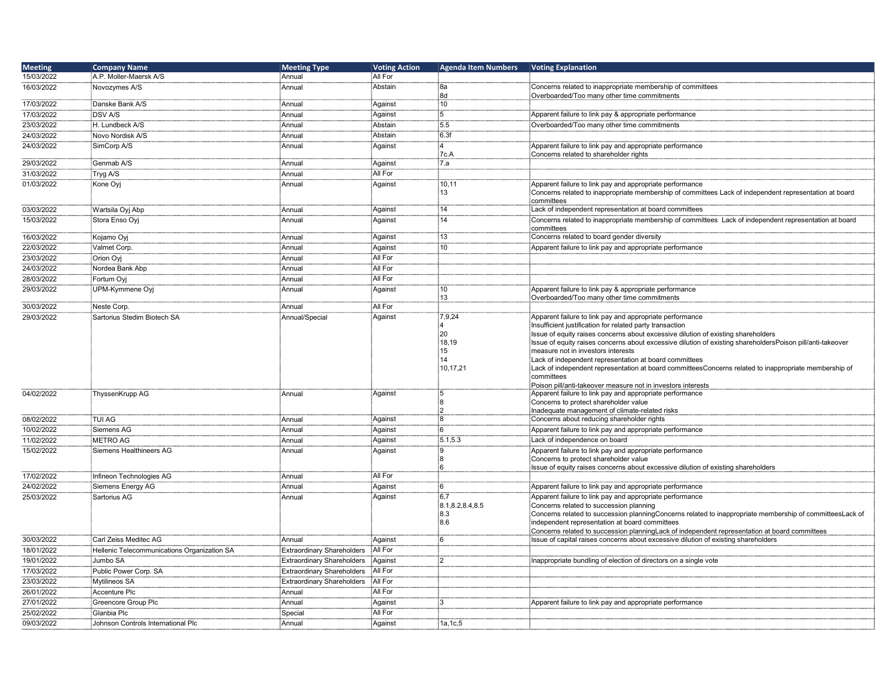| <b>Meeting</b> | <b>Company Name</b>                         | <b>Meeting Type</b>               | <b>Voting Action</b> | <b>Agenda Item Numbers</b> | <b>Voting Explanation</b>                                                                                                                                  |
|----------------|---------------------------------------------|-----------------------------------|----------------------|----------------------------|------------------------------------------------------------------------------------------------------------------------------------------------------------|
| 15/03/2022     | A.P. Moller-Maersk A/S                      | :<br>Annual                       | All For              |                            |                                                                                                                                                            |
| 16/03/2022     | Novozymes A/S                               | Annual                            | Abstain              | 8a                         | Concerns related to inappropriate membership of committees                                                                                                 |
|                |                                             |                                   |                      | 8d                         | Overboarded/Too many other time commitments                                                                                                                |
| 17/03/2022     | Danske Bank A/S                             | Annual                            | Against              | 10                         |                                                                                                                                                            |
| 17/03/2022     | <b>DSV A/S</b>                              | Annual                            | Against              | 5                          | Apparent failure to link pay & appropriate performance                                                                                                     |
| 23/03/2022     | H. Lundbeck A/S                             | Annual                            | Abstain              | :5.5                       | Overboarded/Too many other time commitments                                                                                                                |
|                |                                             |                                   |                      |                            |                                                                                                                                                            |
| 24/03/2022     | Novo Nordisk A/S                            | Annual                            | Abstain              | 6.3f                       |                                                                                                                                                            |
| 24/03/2022     | SimCorp A/S                                 | Annual                            | Against              | $\Delta$                   | Apparent failure to link pay and appropriate performance                                                                                                   |
|                |                                             |                                   |                      | 7c.A                       | Concerns related to shareholder rights                                                                                                                     |
| 29/03/2022     | Genmab A/S                                  | Annual                            | Against              | 7.a                        |                                                                                                                                                            |
| 31/03/2022     | Tryg A/S                                    | Annual                            | All For              |                            |                                                                                                                                                            |
| 01/03/2022     | Kone Ovi                                    | Annual                            | Against              | 10,11                      | Apparent failure to link pay and appropriate performance                                                                                                   |
|                |                                             |                                   |                      | 13                         | Concerns related to inappropriate membership of committees Lack of independent representation at board                                                     |
|                |                                             |                                   |                      |                            | committees                                                                                                                                                 |
| 03/03/2022     | Wartsila Oyj Abp                            | Annual                            | Against              | 14                         | Lack of independent representation at board committees                                                                                                     |
| 15/03/2022     | Stora Enso Ovi                              | Annual                            | Against              | 14                         | Concerns related to inappropriate membership of committees Lack of independent representation at board                                                     |
|                |                                             |                                   |                      |                            | committees                                                                                                                                                 |
| 16/03/2022     | Kojamo Ovi                                  | Annual                            | Against              | 13                         | Concerns related to board gender diversity                                                                                                                 |
| 22/03/2022     | Valmet Corp.                                | Annual                            | Against              | 10                         | Apparent failure to link pay and appropriate performance                                                                                                   |
| 23/03/2022     | Orion Oyj                                   | Annual                            | All For              |                            |                                                                                                                                                            |
| 24/03/2022     | Nordea Bank Abp                             | Annual                            | All For              |                            |                                                                                                                                                            |
| 28/03/2022     | Fortum Oyj                                  | Annual                            | All For              |                            |                                                                                                                                                            |
| 29/03/2022     | UPM-Kymmene Oyj                             | Annual                            | Against              | 10 <sup>1</sup>            | Apparent failure to link pay & appropriate performance                                                                                                     |
|                |                                             |                                   |                      | 13                         | Overboarded/Too many other time commitments                                                                                                                |
| 30/03/2022     | Neste Corp.                                 | Annual                            | All For              |                            |                                                                                                                                                            |
| 29/03/2022     | Sartorius Stedim Biotech SA                 | Annual/Special                    | Against              | 7,9,24                     | Apparent failure to link pay and appropriate performance                                                                                                   |
|                |                                             |                                   |                      |                            | Insufficient justification for related party transaction                                                                                                   |
|                |                                             |                                   |                      | 20                         | Issue of equity raises concerns about excessive dilution of existing shareholders                                                                          |
|                |                                             |                                   |                      | 18,19                      | Issue of equity raises concerns about excessive dilution of existing shareholdersPoison pill/anti-takeover                                                 |
|                |                                             |                                   |                      | 15                         | measure not in investors interests                                                                                                                         |
|                |                                             |                                   |                      | 14                         | Lack of independent representation at board committees                                                                                                     |
|                |                                             |                                   |                      | 10,17,21                   | Lack of independent representation at board committeesConcerns related to inappropriate membership of                                                      |
|                |                                             |                                   |                      |                            | committees                                                                                                                                                 |
|                |                                             |                                   |                      |                            | Poison pill/anti-takeover measure not in investors interests                                                                                               |
| 04/02/2022     | ThyssenKrupp AG                             | Annual                            | Against              | :5<br>8                    | Apparent failure to link pay and appropriate performance                                                                                                   |
|                |                                             |                                   |                      | :2                         | Concerns to protect shareholder value<br>Inadequate management of climate-related risks                                                                    |
| 08/02/2022     | <b>TUI AG</b>                               | Annual                            | Against              | :8                         | Concerns about reducing shareholder rights                                                                                                                 |
| 10/02/2022     | Siemens AG                                  |                                   | Against              | 6:                         | Apparent failure to link pay and appropriate performance                                                                                                   |
|                |                                             | :<br>Annual                       |                      |                            |                                                                                                                                                            |
| 11/02/2022     | <b>METRO AG</b>                             | Annual                            | Against              | 5.1, 5.3                   | Lack of independence on board                                                                                                                              |
| 15/02/2022     | Siemens Healthineers AG                     | Annual                            | Against              | :9                         | Apparent failure to link pay and appropriate performance                                                                                                   |
|                |                                             |                                   |                      | ÷۹<br>6                    | Concerns to protect shareholder value                                                                                                                      |
| 17/02/2022     | Infineon Technologies AG                    | Annual                            | All For              |                            | Issue of equity raises concerns about excessive dilution of existing shareholders                                                                          |
|                |                                             |                                   |                      | 6:                         |                                                                                                                                                            |
| 24/02/2022     | Siemens Energy AG                           | Annual                            | Against              |                            | Apparent failure to link pay and appropriate performance                                                                                                   |
| 25/03/2022     | Sartorius AG                                | Annual                            | Against              | 6,7                        | Apparent failure to link pay and appropriate performance                                                                                                   |
|                |                                             |                                   |                      | 8.1, 8.2, 8.4, 8.5<br>:8.3 | Concerns related to succession planning                                                                                                                    |
|                |                                             |                                   |                      | 8.6                        | Concerns related to succession planningConcerns related to inappropriate membership of committeesLack of<br>independent representation at board committees |
|                |                                             |                                   |                      |                            | Concerns related to succession planningLack of independent representation at board committees                                                              |
| 30/03/2022     | Carl Zeiss Meditec AG                       | Annual                            | Against              | ĥ.                         | Issue of capital raises concerns about excessive dilution of existing shareholders                                                                         |
| 18/01/2022     | Hellenic Telecommunications Organization SA | <b>Extraordinary Shareholders</b> | All For              |                            |                                                                                                                                                            |
|                |                                             |                                   |                      |                            |                                                                                                                                                            |
| 19/01/2022     | Jumbo SA                                    | <b>Extraordinary Shareholders</b> | Against              | :2                         | Inappropriate bundling of election of directors on a single vote                                                                                           |
| 17/03/2022     | Public Power Corp. SA                       | <b>Extraordinary Shareholders</b> | All For              |                            |                                                                                                                                                            |
| 23/03/2022     | Mytilineos SA                               | <b>Extraordinary Shareholders</b> | All For              |                            |                                                                                                                                                            |
| 26/01/2022     | Accenture Plc                               | Annual                            | All For              |                            |                                                                                                                                                            |
| 27/01/2022     | Greencore Group Plc                         | Annual                            | Against              | iЗ                         | Apparent failure to link pay and appropriate performance                                                                                                   |
| 25/02/2022     | Glanbia Plc                                 | Special                           | All For              |                            |                                                                                                                                                            |
| 09/03/2022     | Johnson Controls International PIc          | Annual                            | Against              | 1a, 1c, 5                  |                                                                                                                                                            |
|                |                                             |                                   |                      |                            |                                                                                                                                                            |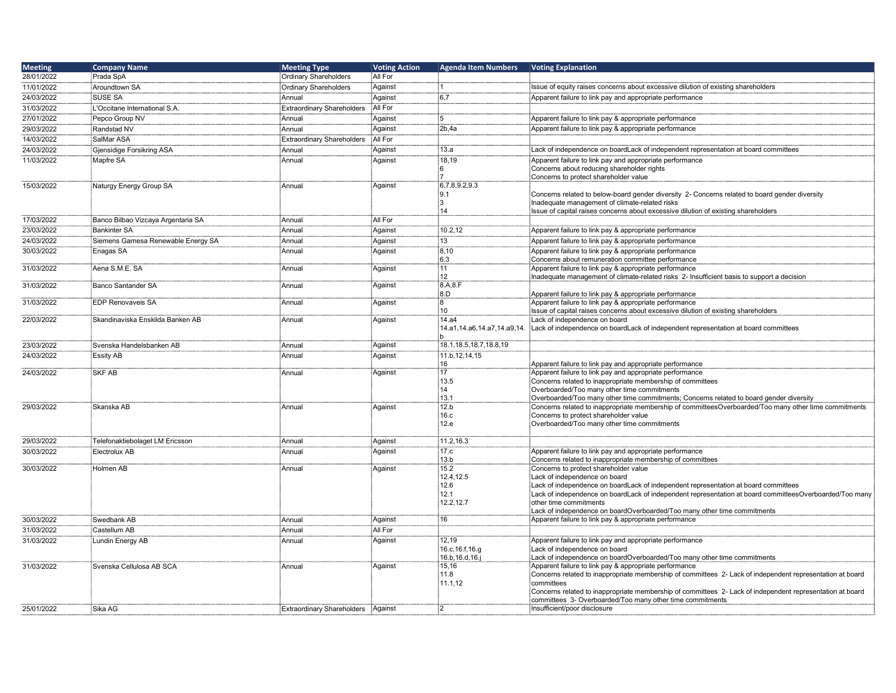| <b>Meeting</b> | <b>Company Name</b>                | <b>Meeting Type</b>                | <b>Voting Action</b> | <b>Agenda Item Numbers</b>  | <b>Voting Explanation</b>                                                                                                                                                                      |
|----------------|------------------------------------|------------------------------------|----------------------|-----------------------------|------------------------------------------------------------------------------------------------------------------------------------------------------------------------------------------------|
| 28/01/2022     | Prada SpA                          | <b>Ordinary Shareholders</b>       | All For              |                             |                                                                                                                                                                                                |
| 11/01/2022     | Aroundtown SA                      | <b>Ordinary Shareholders</b>       | Against              |                             | Issue of equity raises concerns about excessive dilution of existing shareholders                                                                                                              |
| 24/03/2022     | <b>SUSE SA</b>                     | Annual                             | Against              | :6,7                        | Apparent failure to link pay and appropriate performance                                                                                                                                       |
| 31/03/2022     | L'Occitane International S.A.      | <b>Extraordinary Shareholders</b>  | All For              |                             |                                                                                                                                                                                                |
| 27/01/2022     | Pepco Group NV                     | Annual                             | Against              | 5                           | Apparent failure to link pay & appropriate performance                                                                                                                                         |
| 29/03/2022     | Randstad NV                        | Annual                             | Against              | 2b.4a                       | Apparent failure to link pay & appropriate performance                                                                                                                                         |
| 14/03/2022     | SalMar ASA                         | <b>Extraordinary Shareholders</b>  | All For              |                             |                                                                                                                                                                                                |
| 24/03/2022     | Gjensidige Forsikring ASA          | Annual                             | Against              | 13.a                        | Lack of independence on boardLack of independent representation at board committees                                                                                                            |
|                |                                    |                                    |                      | 18.19                       | Apparent failure to link pay and appropriate performance                                                                                                                                       |
| 11/03/2022     | Mapfre SA                          | Annual                             | Against              | 6                           | Concerns about reducing shareholder rights                                                                                                                                                     |
|                |                                    |                                    |                      | :7                          | Concerns to protect shareholder value                                                                                                                                                          |
| 15/03/2022     | Naturgy Energy Group SA            | Annual                             | Against              | 6,7,8,9.2,9.3               |                                                                                                                                                                                                |
|                |                                    |                                    |                      | :9.1                        | Concerns related to below-board gender diversity 2- Concerns related to board gender diversity                                                                                                 |
|                |                                    |                                    |                      | і3                          | Inadequate management of climate-related risks                                                                                                                                                 |
|                |                                    |                                    |                      | 14                          | slasue of capital raises concerns about excessive dilution of existing shareholders                                                                                                            |
| 17/03/2022     | Banco Bilbao Vizcaya Argentaria SA | Annual                             | All For              |                             |                                                                                                                                                                                                |
| 23/03/2022     | <b>Bankinter SA</b>                | Annual                             | Against              | 10.2,12                     | Apparent failure to link pay & appropriate performance                                                                                                                                         |
| 24/03/2022     | Siemens Gamesa Renewable Energy SA | Annual                             | Against              | 13                          | Apparent failure to link pay & appropriate performance                                                                                                                                         |
| 30/03/2022     | Enagas SA                          | Annual                             | Against              | 8,10                        | Apparent failure to link pay & appropriate performance                                                                                                                                         |
|                |                                    |                                    |                      | 6.3<br>11                   | Concerns about remuneration committee performance<br>Apparent failure to link pay & appropriate performance                                                                                    |
| 31/03/2022     | Aena S.M.E. SA                     | Annual                             | Against              | 12                          | Inadequate management of climate-related risks 2- Insufficient basis to support a decision                                                                                                     |
| 31/03/2022     | Banco Santander SA                 | Annual                             | Against              | 8.A.8.F                     |                                                                                                                                                                                                |
|                |                                    |                                    |                      | 8.D                         | Apparent failure to link pay & appropriate performance                                                                                                                                         |
| 31/03/2022     | <b>EDP Renovaveis SA</b>           | Annual                             | Against              | 8                           | Apparent failure to link pay & appropriate performance                                                                                                                                         |
|                |                                    |                                    |                      | 10                          | Issue of capital raises concerns about excessive dilution of existing shareholders                                                                                                             |
| 22/03/2022     | Skandinaviska Enskilda Banken AB   | Annual                             | Against              | 14.a4                       | Lack of independence on board                                                                                                                                                                  |
|                |                                    |                                    |                      | 14.a1,14.a6,14.a7,14.a9,14. | Lack of independence on boardLack of independent representation at board committees                                                                                                            |
| 23/03/2022     | Svenska Handelsbanken AB           | Annual                             | Against              | 18.1, 18.5, 18.7, 18.8, 19  |                                                                                                                                                                                                |
| 24/03/2022     | <b>Essity AB</b>                   | Annual                             | Against              | 11.b, 12, 14, 15            |                                                                                                                                                                                                |
|                |                                    |                                    |                      | 16                          | Apparent failure to link pay and appropriate performance                                                                                                                                       |
| 24/03/2022     | <b>SKF AB</b>                      | Annual                             | Against              | 17                          | Apparent failure to link pay and appropriate performance                                                                                                                                       |
|                |                                    |                                    |                      | 13.5                        | Concerns related to inappropriate membership of committees                                                                                                                                     |
|                |                                    |                                    |                      | 14                          | Overboarded/Too many other time commitments                                                                                                                                                    |
|                |                                    |                                    |                      | 13.1                        | Overboarded/Too many other time commitments: Concerns related to board gender diversity                                                                                                        |
| 29/03/2022     | Skanska AB                         | Annual                             | Against              | 12.b<br>16.c                | Concerns related to inappropriate membership of committeesOverboarded/Too many other time commitments<br>Concerns to protect shareholder value                                                 |
|                |                                    |                                    |                      | 12.e                        | Overboarded/Too many other time commitments                                                                                                                                                    |
|                |                                    |                                    |                      |                             |                                                                                                                                                                                                |
| 29/03/2022     | Telefonaktiebolaget LM Ericsson    | Annual                             | Against              | 11.2,16.3                   |                                                                                                                                                                                                |
| 30/03/2022     | Electrolux AB                      | Annual                             | Against              | 17.c                        | Apparent failure to link pay and appropriate performance                                                                                                                                       |
|                |                                    |                                    |                      | 13.b                        | Concerns related to inappropriate membership of committees                                                                                                                                     |
| 30/03/2022     | Holmen AB                          | Annual                             | Against              | 15.2                        | Concerns to protect shareholder value                                                                                                                                                          |
|                |                                    |                                    |                      | 12.4.12.5<br>12.6           | Lack of independence on board                                                                                                                                                                  |
|                |                                    |                                    |                      | 12.1                        | Lack of independence on boardLack of independent representation at board committees<br>Lack of independence on boardLack of independent representation at board committeesOverboarded/Too many |
|                |                                    |                                    |                      | 12.2,12.7                   | other time commitments                                                                                                                                                                         |
|                |                                    |                                    |                      |                             | Lack of independence on boardOverboarded/Too many other time commitments                                                                                                                       |
| 30/03/2022     | Swedbank AB                        | Annual                             | Against              | 16                          | Apparent failure to link pay & appropriate performance                                                                                                                                         |
| 31/03/2022     | Castellum AB                       | Annual                             | All For              |                             |                                                                                                                                                                                                |
| 31/03/2022     | Lundin Energy AB                   | Annual                             | Against              | 12,19                       | Apparent failure to link pay and appropriate performance                                                                                                                                       |
|                |                                    |                                    |                      | 16.c, 16.f, 16.g            | Lack of independence on board                                                                                                                                                                  |
|                |                                    |                                    |                      | 16.b, 16.d, 16.j            | Lack of independence on boardOverboarded/Too many other time commitments                                                                                                                       |
| 31/03/2022     | Svenska Cellulosa AB SCA           | Annual                             | Against              | 15,16<br>11.8               | Apparent failure to link pay & appropriate performance                                                                                                                                         |
|                |                                    |                                    |                      | 11.1,12                     | Concerns related to inappropriate membership of committees 2- Lack of independent representation at board<br>committees                                                                        |
|                |                                    |                                    |                      |                             | Concerns related to inappropriate membership of committees 2- Lack of independent representation at board                                                                                      |
|                |                                    |                                    |                      |                             | committees 3- Overboarded/Too many other time commitments                                                                                                                                      |
| 25/01/2022     | Sika AG                            | Extraordinary Shareholders Against |                      | :2                          | Insufficient/poor disclosure                                                                                                                                                                   |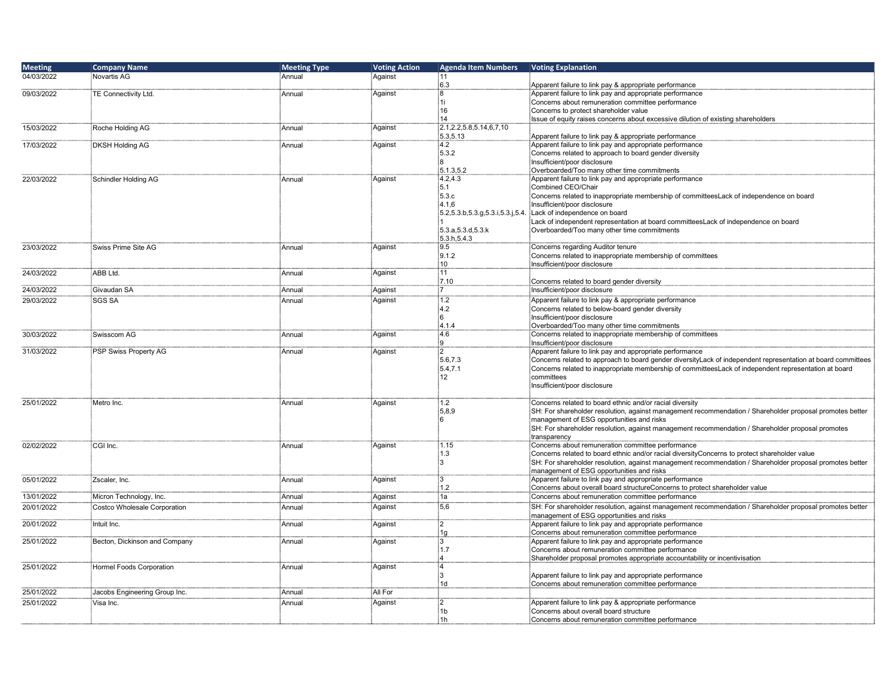| <b>Meeting</b> | <b>Company Name</b>             | <b>Meeting Type</b> | <b>Voting Action</b> | <b>Agenda Item Numbers</b>      | Voting Explanation                                                                                                                                                                                        |
|----------------|---------------------------------|---------------------|----------------------|---------------------------------|-----------------------------------------------------------------------------------------------------------------------------------------------------------------------------------------------------------|
| 04/03/2022     | Novartis AG                     | Annual              | Against              | 11                              |                                                                                                                                                                                                           |
|                |                                 |                     |                      | 6.3                             | Apparent failure to link pay & appropriate performance                                                                                                                                                    |
| 09/03/2022     | TE Connectivity Ltd.            | Annual              | Against              | 8                               | Apparent failure to link pay and appropriate performance                                                                                                                                                  |
|                |                                 |                     |                      | 1i<br>16                        | Concerns about remuneration committee performance<br>Concerns to protect shareholder value                                                                                                                |
|                |                                 |                     |                      | 14                              | Issue of equity raises concerns about excessive dilution of existing shareholders                                                                                                                         |
| 15/03/2022     | Roche Holding AG                | Annual              | Against              | 2.1, 2.2, 5.8, 5.14, 6, 7, 10   |                                                                                                                                                                                                           |
|                |                                 |                     |                      | 5.3,5.13                        | Apparent failure to link pay & appropriate performance                                                                                                                                                    |
| 17/03/2022     | <b>DKSH Holding AG</b>          | Annual              | Against              | 4.2                             | Apparent failure to link pay and appropriate performance                                                                                                                                                  |
|                |                                 |                     |                      | 5.3.2                           | Concerns related to approach to board gender diversity                                                                                                                                                    |
|                |                                 |                     |                      | 8                               | Insufficient/poor disclosure                                                                                                                                                                              |
|                |                                 |                     |                      | 5.1.3,5.2                       | Overboarded/Too many other time commitments                                                                                                                                                               |
| 22/03/2022     | Schindler Holding AG            | Annual              | Against              | 4.2, 4.3<br>5.1                 | Apparent failure to link pay and appropriate performance<br>Combined CEO/Chair                                                                                                                            |
|                |                                 |                     |                      | 5.3.c                           | Concerns related to inappropriate membership of committeesLack of independence on board                                                                                                                   |
|                |                                 |                     |                      | 4.1.6                           | Insufficient/poor disclosure                                                                                                                                                                              |
|                |                                 |                     |                      | 5.2,5.3.b,5.3.g,5.3.i,5.3.j,5.4 | Lack of independence on board                                                                                                                                                                             |
|                |                                 |                     |                      |                                 | Lack of independent representation at board committeesLack of independence on board                                                                                                                       |
|                |                                 |                     |                      | 5.3.a, 5.3.d, 5.3.k             | Overboarded/Too many other time commitments                                                                                                                                                               |
|                |                                 |                     |                      | 5.3.h, 5.4.3                    |                                                                                                                                                                                                           |
| 23/03/2022     | Swiss Prime Site AG             | Annual              | Against              | 9.5                             | Concerns regarding Auditor tenure                                                                                                                                                                         |
|                |                                 |                     |                      | 9.1.2                           | Concerns related to inappropriate membership of committees                                                                                                                                                |
| 24/03/2022     | ABB Ltd.                        | Annual              | Against              | 10 <sup>1</sup><br>11           | Insufficient/poor disclosure                                                                                                                                                                              |
|                |                                 |                     |                      | 7.10                            | Concerns related to board gender diversity                                                                                                                                                                |
| 24/03/2022     | Givaudan SA                     | Annual              | Against              | $\overline{7}$                  | Insufficient/poor disclosure                                                                                                                                                                              |
| 29/03/2022     | <b>SGS SA</b>                   | Annual              | Against              | 1.2                             | Apparent failure to link pay & appropriate performance                                                                                                                                                    |
|                |                                 |                     |                      | 4.2                             | Concerns related to below-board gender diversity                                                                                                                                                          |
|                |                                 |                     |                      | $6\overline{6}$                 | Insufficient/poor disclosure                                                                                                                                                                              |
|                |                                 |                     |                      | 4.1.4                           | Overboarded/Too many other time commitments                                                                                                                                                               |
| 30/03/2022     | Swisscom AG                     | Annual              | Against              | 4.6                             | Concerns related to inappropriate membership of committees                                                                                                                                                |
|                |                                 |                     |                      | g                               | Insufficient/poor disclosure                                                                                                                                                                              |
| 31/03/2022     | PSP Swiss Property AG           | Annual              | Against              | :2                              | Apparent failure to link pay and appropriate performance                                                                                                                                                  |
|                |                                 |                     |                      | 5.6,7.3                         | Concerns related to approach to board gender diversityLack of independent representation at board committees                                                                                              |
|                |                                 |                     |                      | 5.4.7.1<br>12 <sup>°</sup>      | Concerns related to inappropriate membership of committeesLack of independent representation at board<br>committees                                                                                       |
|                |                                 |                     |                      |                                 | Insufficient/poor disclosure                                                                                                                                                                              |
|                |                                 |                     |                      |                                 |                                                                                                                                                                                                           |
| 25/01/2022     | Metro Inc.                      | Annual              | Against              | $1.2^{\circ}$                   | Concerns related to board ethnic and/or racial diversity                                                                                                                                                  |
|                |                                 |                     |                      | 5,8,9                           | SH: For shareholder resolution, against management recommendation / Shareholder proposal promotes better                                                                                                  |
|                |                                 |                     |                      | 6                               | management of ESG opportunities and risks                                                                                                                                                                 |
|                |                                 |                     |                      |                                 | SH: For shareholder resolution, against management recommendation / Shareholder proposal promotes                                                                                                         |
|                |                                 |                     |                      |                                 | transparency                                                                                                                                                                                              |
| 02/02/2022     | CGI Inc.                        | Annual              | Against              | 1.15                            | Concerns about remuneration committee performance                                                                                                                                                         |
|                |                                 |                     |                      | 1.3<br>3                        | Concerns related to board ethnic and/or racial diversityConcerns to protect shareholder value<br>SH: For shareholder resolution, against management recommendation / Shareholder proposal promotes better |
|                |                                 |                     |                      |                                 | management of ESG opportunities and risks                                                                                                                                                                 |
| 05/01/2022     | Zscaler, Inc.                   | Annual              | Against              | :3                              | Apparent failure to link pay and appropriate performance                                                                                                                                                  |
|                |                                 |                     |                      | 1.2                             | Concerns about overall board structureConcerns to protect shareholder value                                                                                                                               |
| 13/01/2022     | Micron Technology, Inc.         | Annual              | Against              | 1a                              | Concerns about remuneration committee performance                                                                                                                                                         |
| 20/01/2022     | Costco Wholesale Corporation    | Annual              | Against              | 5,6                             | SH: For shareholder resolution, against management recommendation / Shareholder proposal promotes better                                                                                                  |
|                |                                 |                     |                      |                                 | management of ESG opportunities and risks                                                                                                                                                                 |
| 20/01/2022     | Intuit Inc.                     | Annual              | Against              | $\mathcal{P}$                   | Apparent failure to link pay and appropriate performance                                                                                                                                                  |
|                |                                 |                     |                      | 1g                              | Concerns about remuneration committee performance                                                                                                                                                         |
| 25/01/2022     | Becton, Dickinson and Company   | Annual              | Against              | :3                              | Apparent failure to link pay and appropriate performance                                                                                                                                                  |
|                |                                 |                     |                      | 1.7                             | Concerns about remuneration committee performance                                                                                                                                                         |
|                |                                 |                     |                      | 4<br>$\overline{\mathbf{4}}$    | Shareholder proposal promotes appropriate accountability or incentivisation                                                                                                                               |
| 25/01/2022     | <b>Hormel Foods Corporation</b> | Annual              | Against              | 3                               |                                                                                                                                                                                                           |
|                |                                 |                     |                      | 1d                              | Apparent failure to link pay and appropriate performance<br>Concerns about remuneration committee performance                                                                                             |
| 25/01/2022     | Jacobs Engineering Group Inc.   | Annual              | All For              |                                 |                                                                                                                                                                                                           |
| 25/01/2022     | Visa Inc.                       | Annual              | Against              | $\overline{2}$                  | Apparent failure to link pay & appropriate performance                                                                                                                                                    |
|                |                                 |                     |                      | 1 <sub>b</sub>                  | Concerns about overall board structure                                                                                                                                                                    |
|                |                                 |                     |                      | 1 <sub>h</sub>                  | Concerns about remuneration committee performance                                                                                                                                                         |
|                |                                 |                     |                      |                                 |                                                                                                                                                                                                           |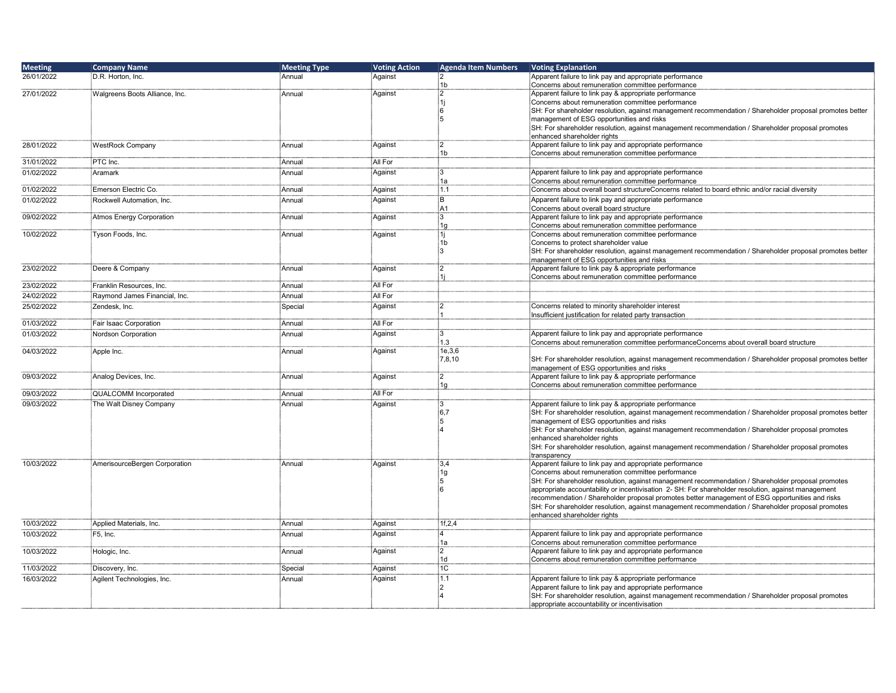| <b>Meeting</b> | <b>Company Name</b>             | <b>Meeting Type</b> | <b>Voting Action</b> | <b>Agenda Item Numbers</b> | <b>Voting Explanation</b>                                                                                                                                                                            |
|----------------|---------------------------------|---------------------|----------------------|----------------------------|------------------------------------------------------------------------------------------------------------------------------------------------------------------------------------------------------|
| 26/01/2022     | D.R. Horton, Inc.               | Annual              | Against              | :2                         | Apparent failure to link pay and appropriate performance                                                                                                                                             |
| 27/01/2022     |                                 | Annual              |                      | 1b<br>$2^{\circ}$          | Concerns about remuneration committee performance                                                                                                                                                    |
|                | Walgreens Boots Alliance, Inc.  |                     | Against              | :1i                        | Apparent failure to link pay & appropriate performance<br>Concerns about remuneration committee performance                                                                                          |
|                |                                 |                     |                      | 6                          | SH: For shareholder resolution, against management recommendation / Shareholder proposal promotes better                                                                                             |
|                |                                 |                     |                      | ៈ5                         | management of ESG opportunities and risks                                                                                                                                                            |
|                |                                 |                     |                      |                            | SH: For shareholder resolution, against management recommendation / Shareholder proposal promotes                                                                                                    |
|                |                                 |                     |                      | :2                         | enhanced shareholder rights                                                                                                                                                                          |
| 28/01/2022     | <b>WestRock Company</b>         | Annual              | Against              | 1b                         | Apparent failure to link pay and appropriate performance<br>Concerns about remuneration committee performance                                                                                        |
| 31/01/2022     | PTC Inc.                        | Annual              | All For              |                            |                                                                                                                                                                                                      |
| 01/02/2022     | Aramark                         | Annual              | Against              | Β.                         | Apparent failure to link pay and appropriate performance                                                                                                                                             |
|                |                                 |                     |                      | 1a                         | Concerns about remuneration committee performance                                                                                                                                                    |
| 01/02/2022     | Emerson Electric Co.            | Annual              | Against              | 1.1                        | Concerns about overall board structureConcerns related to board ethnic and/or racial diversity                                                                                                       |
| 01/02/2022     | Rockwell Automation, Inc.       | Annual              | Against              | ΪBΪ<br>A <sub>1</sub>      | Apparent failure to link pay and appropriate performance                                                                                                                                             |
| 09/02/2022     | <b>Atmos Energy Corporation</b> | Annual              | Against              | 3                          | Concerns about overall board structure<br>Apparent failure to link pay and appropriate performance                                                                                                   |
|                |                                 |                     |                      | 1g                         | Concerns about remuneration committee performance                                                                                                                                                    |
| 10/02/2022     | Tyson Foods, Inc.               | Annual              | Against              | 1i                         | Concerns about remuneration committee performance                                                                                                                                                    |
|                |                                 |                     |                      | 1b<br>١R.                  | Concerns to protect shareholder value                                                                                                                                                                |
|                |                                 |                     |                      |                            | SH: For shareholder resolution, against management recommendation / Shareholder proposal promotes better<br>management of ESG opportunities and risks                                                |
| 23/02/2022     | Deere & Company                 | Annual              | Against              | $^{12}$                    | Apparent failure to link pay & appropriate performance                                                                                                                                               |
|                |                                 |                     |                      |                            | Concerns about remuneration committee performance                                                                                                                                                    |
| 23/02/2022     | Franklin Resources, Inc.        | Annual              | All For              |                            |                                                                                                                                                                                                      |
| 24/02/2022     | Raymond James Financial, Inc.   | Annual              | All For              |                            |                                                                                                                                                                                                      |
| 25/02/2022     | Zendesk, Inc.                   | Special             | Against              | :2                         | Concerns related to minority shareholder interest                                                                                                                                                    |
| 01/03/2022     | Fair Isaac Corporation          | Annual              | All For              |                            | Insufficient justification for related party transaction                                                                                                                                             |
| 01/03/2022     | Nordson Corporation             | Annual              | Against              | Ε.                         | Apparent failure to link pay and appropriate performance                                                                                                                                             |
|                |                                 |                     |                      | 1.3                        | Concerns about remuneration committee performanceConcerns about overall board structure                                                                                                              |
| 04/03/2022     | Apple Inc.                      | Annual              | Against              | 1e, 3, 6                   |                                                                                                                                                                                                      |
|                |                                 |                     |                      | 7,8,10                     | SH: For shareholder resolution, against management recommendation / Shareholder proposal promotes better<br>management of ESG opportunities and risks                                                |
| 09/03/2022     | Analog Devices, Inc.            | Annual              | Against              | $^{2}$                     | Apparent failure to link pay & appropriate performance                                                                                                                                               |
|                |                                 |                     |                      | 1g                         | Concerns about remuneration committee performance                                                                                                                                                    |
| 09/03/2022     | <b>QUALCOMM</b> Incorporated    | Annual              | All For              |                            |                                                                                                                                                                                                      |
| 09/03/2022     | The Walt Disney Company         | Annual              | Against              | з.                         | Apparent failure to link pay & appropriate performance                                                                                                                                               |
|                |                                 |                     |                      | :6,7<br>5                  | SH: For shareholder resolution, against management recommendation / Shareholder proposal promotes better<br>management of ESG opportunities and risks                                                |
|                |                                 |                     |                      |                            | SH: For shareholder resolution, against management recommendation / Shareholder proposal promotes                                                                                                    |
|                |                                 |                     |                      |                            | enhanced shareholder rights                                                                                                                                                                          |
|                |                                 |                     |                      |                            | SH: For shareholder resolution, against management recommendation / Shareholder proposal promotes                                                                                                    |
|                |                                 |                     | Against              | 3,4                        | transparency<br>Apparent failure to link pay and appropriate performance                                                                                                                             |
| 10/03/2022     | AmerisourceBergen Corporation   | Annual              |                      | 1g                         | Concerns about remuneration committee performance                                                                                                                                                    |
|                |                                 |                     |                      | :5                         | SH: For shareholder resolution, against management recommendation / Shareholder proposal promotes                                                                                                    |
|                |                                 |                     |                      | ∔6                         | appropriate accountability or incentivisation 2- SH: For shareholder resolution, against management                                                                                                  |
|                |                                 |                     |                      |                            | recommendation / Shareholder proposal promotes better management of ESG opportunities and risks<br>SH: For shareholder resolution, against management recommendation / Shareholder proposal promotes |
|                |                                 |                     |                      |                            | enhanced shareholder rights                                                                                                                                                                          |
| 10/03/2022     | Applied Materials, Inc.         | Annual              | Against              | 1f, 2, 4                   |                                                                                                                                                                                                      |
| 10/03/2022     | F5, Inc.                        | Annual              | Against              | 4                          | Apparent failure to link pay and appropriate performance                                                                                                                                             |
|                |                                 |                     |                      | 1a                         | Concerns about remuneration committee performance                                                                                                                                                    |
| 10/03/2022     | Hologic, Inc.                   | Annual              | Against              | $^{2}$                     | Apparent failure to link pay and appropriate performance                                                                                                                                             |
| 11/03/2022     | Discovery, Inc.                 | Special             | Against              | 1d<br>1C                   | Concerns about remuneration committee performance                                                                                                                                                    |
| 16/03/2022     | Agilent Technologies, Inc.      | Annual              | Against              | 1.1                        | Apparent failure to link pay & appropriate performance                                                                                                                                               |
|                |                                 |                     |                      | :2                         | Apparent failure to link pay and appropriate performance                                                                                                                                             |
|                |                                 |                     |                      |                            | SH: For shareholder resolution, against management recommendation / Shareholder proposal promotes                                                                                                    |
|                |                                 |                     |                      |                            | appropriate accountability or incentivisation                                                                                                                                                        |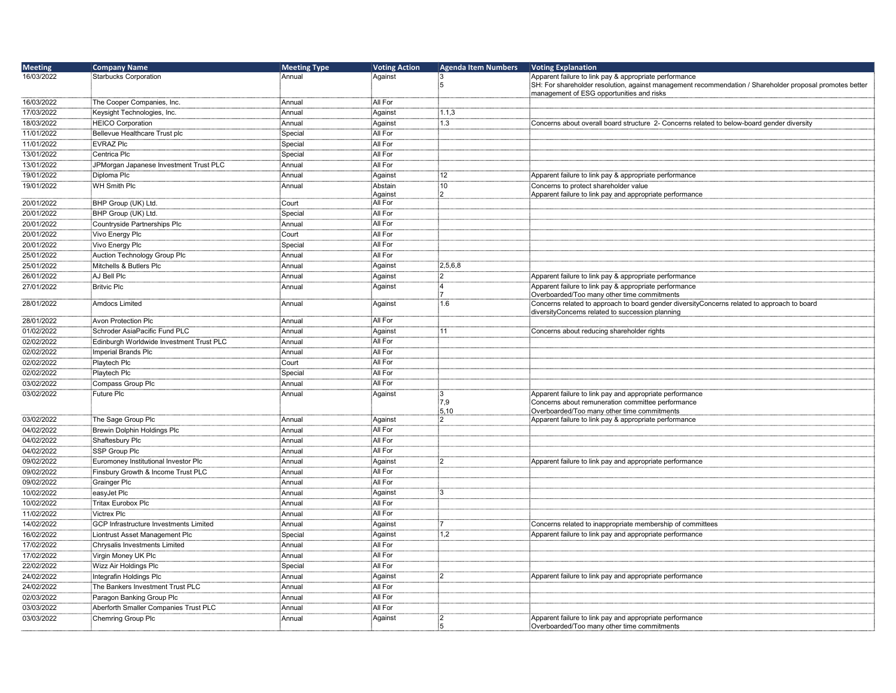| <b>Meeting</b> | <b>Company Name</b>                      | <b>Meeting Type</b> | <b>Voting Action</b> | <b>Agenda Item Numbers</b> | <b>Voting Explanation</b>                                                                                |
|----------------|------------------------------------------|---------------------|----------------------|----------------------------|----------------------------------------------------------------------------------------------------------|
| 16/03/2022     | <b>Starbucks Corporation</b>             | Annual              | Against              |                            | Apparent failure to link pay & appropriate performance                                                   |
|                |                                          |                     |                      | :5                         | SH: For shareholder resolution, against management recommendation / Shareholder proposal promotes better |
| 16/03/2022     | The Cooper Companies, Inc.               |                     | All For              |                            | management of ESG opportunities and risks                                                                |
|                |                                          | : Annual            |                      |                            |                                                                                                          |
| 17/03/2022     | Keysight Technologies, Inc.              | Annual              | Against              | 1.1,3                      |                                                                                                          |
| 18/03/2022     | <b>HEICO Corporation</b>                 | Annual              | Against              | 1.3                        | Concerns about overall board structure 2- Concerns related to below-board gender diversity               |
| 11/01/2022     | Bellevue Healthcare Trust plc            | Special             | All For              |                            |                                                                                                          |
| 11/01/2022     | <b>EVRAZ Plc</b>                         | Special             | All For              |                            |                                                                                                          |
| 13/01/2022     | Centrica Plc                             | Special             | All For              |                            |                                                                                                          |
| 13/01/2022     | JPMorgan Japanese Investment Trust PLC   | : Annual            | All For              |                            |                                                                                                          |
| 19/01/2022     | Diploma Plc                              | Annual              | Against              | 12                         | Apparent failure to link pay & appropriate performance                                                   |
| 19/01/2022     | WH Smith Plc                             | Annual              | Abstain              | 10                         | Concerns to protect shareholder value                                                                    |
| 20/01/2022     | BHP Group (UK) Ltd.                      | Court               | Against<br>All For   |                            | Apparent failure to link pay and appropriate performance                                                 |
| 20/01/2022     | BHP Group (UK) Ltd.                      | Special             | All For              |                            |                                                                                                          |
| 20/01/2022     | Countryside Partnerships Plc             | Annual              | All For              |                            |                                                                                                          |
| 20/01/2022     | Vivo Energy Plc                          | Court               | All For              |                            |                                                                                                          |
|                |                                          |                     | All For              |                            |                                                                                                          |
| 20/01/2022     | Vivo Energy Plc                          | Special             |                      |                            |                                                                                                          |
| 25/01/2022     | Auction Technology Group Plc             | Annual              | All For              |                            |                                                                                                          |
| 25/01/2022     | Mitchells & Butlers Plc                  | Annual              | Against              | 2,5,6,8                    |                                                                                                          |
| 26/01/2022     | AJ Bell Plc                              | Annual              | Aqainst              | $\overline{2}$             | Apparent failure to link pay & appropriate performance                                                   |
| 27/01/2022     | <b>Britvic Plc</b>                       | Annual              | Against              | .<br>4                     | Apparent failure to link pay & appropriate performance<br>Overboarded/Too many other time commitments    |
| 28/01/2022     | Amdocs Limited                           | Annual              | Against              | 1.6                        | Concerns related to approach to board gender diversityConcerns related to approach to board              |
|                |                                          |                     |                      |                            | diversityConcerns related to succession planning                                                         |
| 28/01/2022     | <b>Avon Protection Plc</b>               | Annual              | All For              |                            |                                                                                                          |
| 01/02/2022     | Schroder AsiaPacific Fund PLC            | Annual              | Against              | 11                         | Concerns about reducing shareholder rights                                                               |
| 02/02/2022     | Edinburgh Worldwide Investment Trust PLC | Annual              | All For              |                            |                                                                                                          |
| 02/02/2022     | Imperial Brands Plc                      | Annual              | All For              |                            |                                                                                                          |
| 02/02/2022     | Playtech Plc                             | Court               | All For              |                            |                                                                                                          |
| 02/02/2022     | Playtech Plc                             | Special             | All For              |                            |                                                                                                          |
| 03/02/2022     | Compass Group Plc                        | Annual              | All For              |                            |                                                                                                          |
| 03/02/2022     | Future Plc                               | Annual              | Against              | :3                         | Apparent failure to link pay and appropriate performance                                                 |
|                |                                          |                     |                      | 7,9                        | Concerns about remuneration committee performance                                                        |
|                |                                          |                     |                      | 5,10                       | Overboarded/Too many other time commitments                                                              |
| 03/02/2022     | The Sage Group Plc                       | : Annual            | Against              | $^{12}$                    | Apparent failure to link pay & appropriate performance                                                   |
| 04/02/2022     | Brewin Dolphin Holdings Plc              | Annual              | All For              |                            |                                                                                                          |
| 04/02/2022     | Shaftesbury Plc                          | Annual              | All For              |                            |                                                                                                          |
| 04/02/2022     | SSP Group Plc                            | Annual              | All For              |                            |                                                                                                          |
| 09/02/2022     | Euromoney Institutional Investor Plc     | Annual              | Against              | 2                          | Apparent failure to link pay and appropriate performance                                                 |
| 09/02/2022     | Finsbury Growth & Income Trust PLC       | Annual              | All For              |                            |                                                                                                          |
| 09/02/2022     | Grainger Plc                             | Annual              | All For              |                            |                                                                                                          |
| 10/02/2022     | easyJet Plc                              | Annual              | Against              | :3                         |                                                                                                          |
| 10/02/2022     | <b>Tritax Eurobox Plc</b>                | Annual              | All For              |                            |                                                                                                          |
| 11/02/2022     | <b>Victrex Plc</b>                       | Annual              | All For              |                            |                                                                                                          |
| 14/02/2022     | GCP Infrastructure Investments Limited   | Annual              | Against              | :7                         | Concerns related to inappropriate membership of committees                                               |
| 16/02/2022     | Liontrust Asset Management Plc           | Special             | Against              | 1,2                        | Apparent failure to link pay and appropriate performance                                                 |
| 17/02/2022     | Chrysalis Investments Limited            | Annual              | All For              |                            |                                                                                                          |
| 17/02/2022     | Virgin Money UK Plc                      | Annual              | All For              |                            |                                                                                                          |
| 22/02/2022     | Wizz Air Holdings Plc                    | Special             | All For              |                            |                                                                                                          |
| 24/02/2022     | Integrafin Holdings Plc                  | Annual              | Against              | :2                         | Apparent failure to link pay and appropriate performance                                                 |
| 24/02/2022     | The Bankers Investment Trust PLC         | Annual              | All For              |                            |                                                                                                          |
| 02/03/2022     | Paragon Banking Group Plc                | Annual              | All For              |                            |                                                                                                          |
| 03/03/2022     | Aberforth Smaller Companies Trust PLC    | Annual              | All For              |                            |                                                                                                          |
| 03/03/2022     | Chemring Group Plc                       | Annual              | Against              | :2                         | Apparent failure to link pay and appropriate performance                                                 |
|                |                                          |                     |                      | :5                         | Overboarded/Too many other time commitments                                                              |